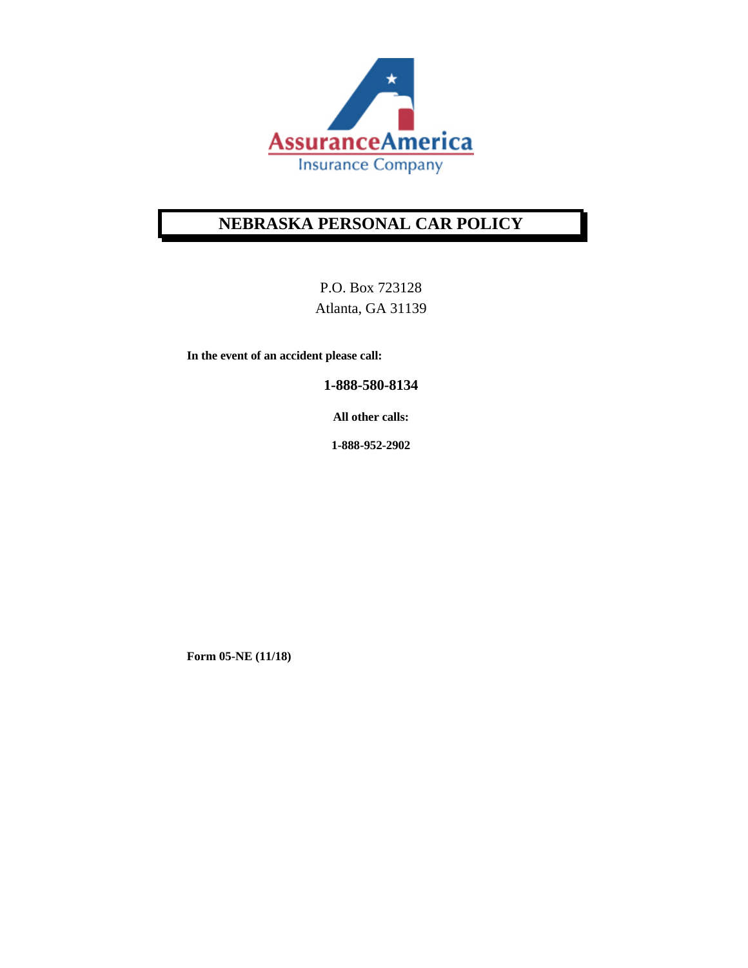

# **NEBRASKA PERSONAL CAR POLICY**

P.O. Box 723128 Atlanta, GA 31139

**In the event of an accident please call:** 

**1-888-580-8134** 

**All other calls:** 

**1-888-952-2902** 

**Form 05-NE (11/18)**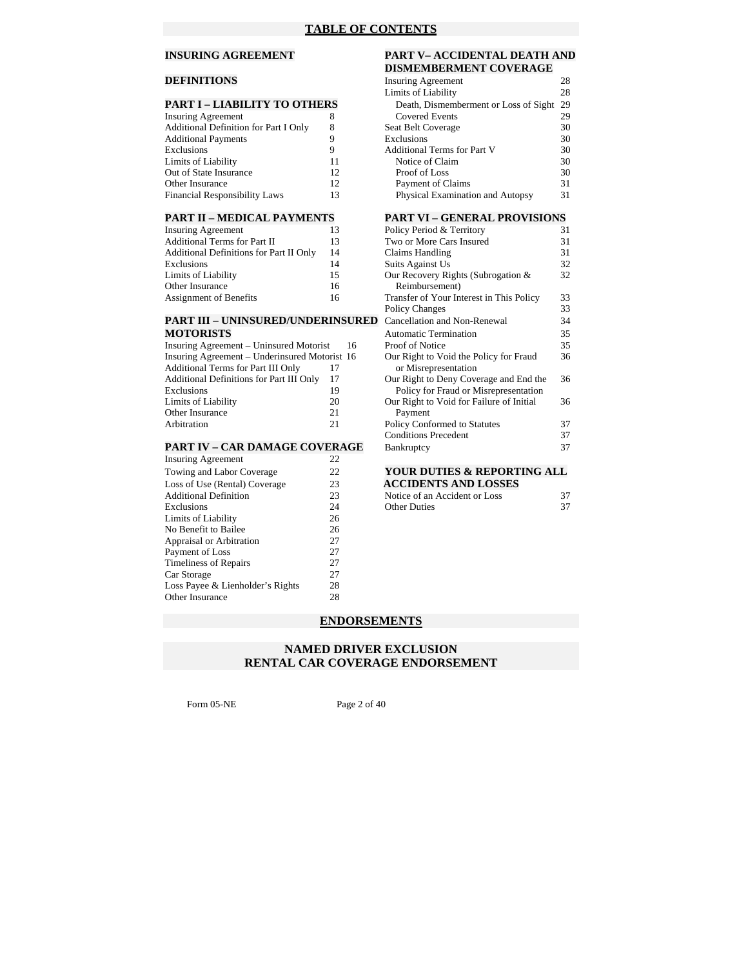# **DEFINITIONS**

#### **PART I – LIABILITY TO OTHERS**

| Insuring Agreement                           |    |
|----------------------------------------------|----|
| <b>Additional Definition for Part I Only</b> | 8  |
| <b>Additional Payments</b>                   | 9  |
| Exclusions                                   | Q  |
| Limits of Liability                          | 11 |
| Out of State Insurance                       | 12 |
| <b>Other Insurance</b>                       | 12 |
| Financial Responsibility Laws                | 13 |

| <b>Insuring Agreement</b>                      | 13 | Policy Period & Ter  |
|------------------------------------------------|----|----------------------|
| Additional Terms for Part II                   | 13 | Two or More Cars I   |
| <b>Additional Definitions for Part II Only</b> | 14 | Claims Handling      |
| Exclusions                                     | 14 | Suits Against Us     |
| Limits of Liability                            | 15 | Our Recovery Right   |
| Other Insurance                                | 16 | Reimbursement)       |
| <b>Assignment of Benefits</b>                  | 16 | Transfer of Your Int |

# **MOTORISTS** Automatic Termination 35

| Insuring Agreement – Uninsured Motorist       | 16 | Proof of Notice                          | 35 |
|-----------------------------------------------|----|------------------------------------------|----|
| Insuring Agreement – Underinsured Motorist 16 |    | Our Right to Void the Policy for Fraud   | 36 |
| <b>Additional Terms for Part III Only</b>     |    | or Misrepresentation                     |    |
| Additional Definitions for Part III Only      | 17 | Our Right to Deny Coverage and End the   | 36 |
| Exclusions                                    | 19 | Policy for Fraud or Misrepresentation    |    |
| Limits of Liability                           | 20 | Our Right to Void for Failure of Initial | 36 |
| Other Insurance                               | 21 | Payment                                  |    |
| Arbitration                                   | 21 | Policy Conformed to Statutes             |    |
|                                               |    |                                          |    |

| <b>Insuring Agreement</b>        | 22 |                               |    |
|----------------------------------|----|-------------------------------|----|
| Towing and Labor Coverage        | 22 | YOUR DUTIES & REPORTING ALL   |    |
| Loss of Use (Rental) Coverage    | 23 | <b>ACCIDENTS AND LOSSES</b>   |    |
| <b>Additional Definition</b>     | 23 | Notice of an Accident or Loss | 37 |
| Exclusions                       | 24 | <b>Other Duties</b>           | 37 |
| Limits of Liability              | 26 |                               |    |
| No Benefit to Bailee             | 26 |                               |    |
| Appraisal or Arbitration         | 27 |                               |    |
| Payment of Loss                  | 27 |                               |    |
| <b>Timeliness of Repairs</b>     | 27 |                               |    |
| Car Storage                      | 27 |                               |    |
| Loss Payee & Lienholder's Rights | 28 |                               |    |
| Other Insurance                  | 28 |                               |    |
|                                  |    |                               |    |

#### **INSURING AGREEMENT PART V– ACCIDENTAL DEATH AND DISMEMBERMENT COVERAGE**

|    |                                    | 28                                                                 |
|----|------------------------------------|--------------------------------------------------------------------|
|    | Limits of Liability                | 28                                                                 |
|    |                                    | 29                                                                 |
| 8  | <b>Covered Events</b>              | 29                                                                 |
| 8  | Seat Belt Coverage                 | 30                                                                 |
| Q  | Exclusions                         | 30                                                                 |
| 9  | <b>Additional Terms for Part V</b> | 30                                                                 |
| 11 | Notice of Claim                    | 30                                                                 |
| 12 | Proof of Loss                      | 30                                                                 |
| 12 | Payment of Claims                  | 31                                                                 |
| 13 | Physical Examination and Autopsy   | 31                                                                 |
|    | PART I – LIABILITY TO OTHERS       | <b>Insuring Agreement</b><br>Death, Dismemberment or Loss of Sight |

#### **PART II – MEDICAL PAYMENTS PART VI – GENERAL PROVISIONS**

| Insuring Agreement                            | 13 | Policy Period & Territory                | 31 |
|-----------------------------------------------|----|------------------------------------------|----|
| <b>Additional Terms for Part II</b>           | 13 | Two or More Cars Insured                 | 31 |
| Additional Definitions for Part II Only       | 14 | Claims Handling                          | 31 |
| Exclusions                                    | 14 | Suits Against Us                         | 32 |
| Limits of Liability                           | 15 | Our Recovery Rights (Subrogation &       | 32 |
| Other Insurance                               | 16 | Reimbursement)                           |    |
| Assignment of Benefits                        | 16 | Transfer of Your Interest in This Policy | 33 |
|                                               |    | <b>Policy Changes</b>                    | 33 |
| <b>PART III – UNINSURED/UNDERINSURED</b>      |    | Cancellation and Non-Renewal             | 34 |
| <b>MOTORISTS</b>                              |    | <b>Automatic Termination</b>             | 35 |
| Insuring Agreement – Uninsured Motorist       | 16 | Proof of Notice                          | 35 |
| Insuring Agreement – Underinsured Motorist 16 |    | Our Right to Void the Policy for Fraud   | 36 |
| <b>Additional Terms for Part III Only</b>     | 17 | or Misrepresentation                     |    |
| Additional Definitions for Part III Only      | 17 | Our Right to Deny Coverage and End the   | 36 |
| Exclusions                                    | 19 | Policy for Fraud or Misrepresentation    |    |
| Limits of Liability                           | 20 | Our Right to Void for Failure of Initial | 36 |
| Other Insurance                               | 21 | Payment                                  |    |
| Arbitration                                   | 21 | Policy Conformed to Statutes             | 37 |
|                                               |    | <b>Conditions Precedent</b>              | 37 |
| <b>PART IV - CAR DAMAGE COVERAGE</b>          |    | Bankruptcy                               | 37 |

| LOSS OF OSC (Refital) Coverage |     | ACCIDENTS AND LOSSES          |  |
|--------------------------------|-----|-------------------------------|--|
| Additional Definition          | د ک | Notice of an Accident or Loss |  |
| Exclusions                     |     | <b>Other Duties</b>           |  |

# **ENDORSEMENTS**

# **NAMED DRIVER EXCLUSION RENTAL CAR COVERAGE ENDORSEMENT**

Form 05-NE Page 2 of 40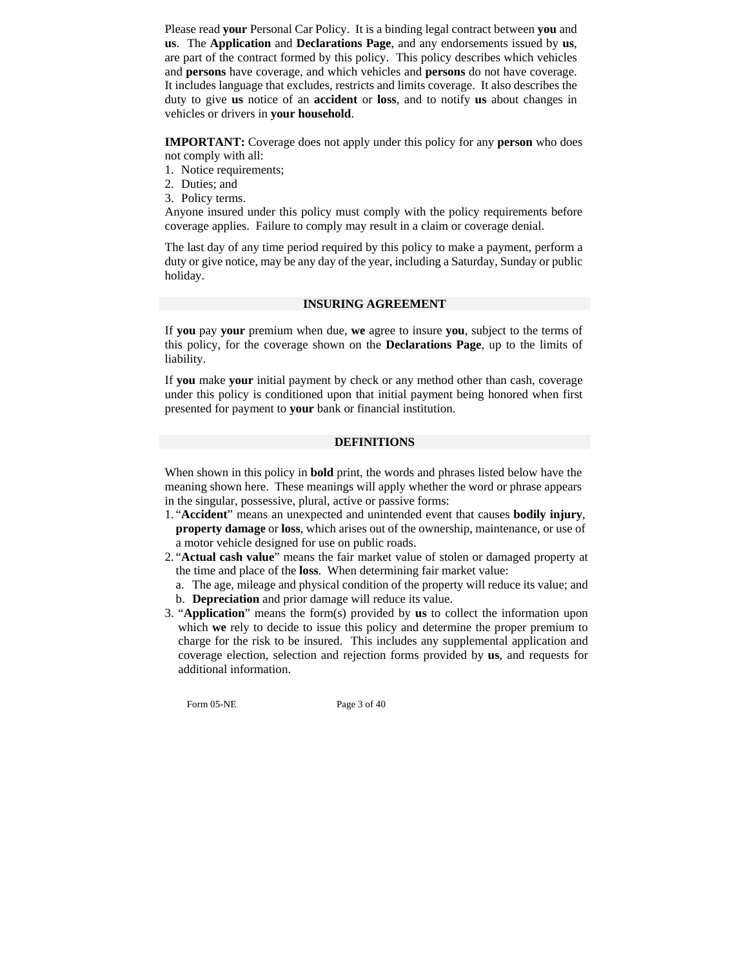Please read **your** Personal Car Policy. It is a binding legal contract between **you** and **us**. The **Application** and **Declarations Page**, and any endorsements issued by **us**, are part of the contract formed by this policy. This policy describes which vehicles and **persons** have coverage, and which vehicles and **persons** do not have coverage. It includes language that excludes, restricts and limits coverage. It also describes the duty to give **us** notice of an **accident** or **loss**, and to notify **us** about changes in vehicles or drivers in **your household**.

**IMPORTANT:** Coverage does not apply under this policy for any **person** who does not comply with all:

- 1. Notice requirements;
- 2. Duties; and
- 3. Policy terms.

Anyone insured under this policy must comply with the policy requirements before coverage applies. Failure to comply may result in a claim or coverage denial.

The last day of any time period required by this policy to make a payment, perform a duty or give notice, may be any day of the year, including a Saturday, Sunday or public holiday.

#### **INSURING AGREEMENT**

If **you** pay **your** premium when due, **we** agree to insure **you**, subject to the terms of this policy, for the coverage shown on the **Declarations Page**, up to the limits of liability.

If **you** make **your** initial payment by check or any method other than cash, coverage under this policy is conditioned upon that initial payment being honored when first presented for payment to **your** bank or financial institution.

# **DEFINITIONS**

When shown in this policy in **bold** print, the words and phrases listed below have the meaning shown here. These meanings will apply whether the word or phrase appears in the singular, possessive, plural, active or passive forms:

- 1. "**Accident**" means an unexpected and unintended event that causes **bodily injury**, **property damage** or **loss**, which arises out of the ownership, maintenance, or use of a motor vehicle designed for use on public roads.
- 2. "**Actual cash value**" means the fair market value of stolen or damaged property at the time and place of the **loss**.When determining fair market value:
	- a. The age, mileage and physical condition of the property will reduce its value; and
	- b. **Depreciation** and prior damage will reduce its value.
- 3. "**Application**" means the form(s) provided by **us** to collect the information upon which **we** rely to decide to issue this policy and determine the proper premium to charge for the risk to be insured. This includes any supplemental application and coverage election, selection and rejection forms provided by **us**, and requests for additional information.

Form 05-NE Page 3 of 40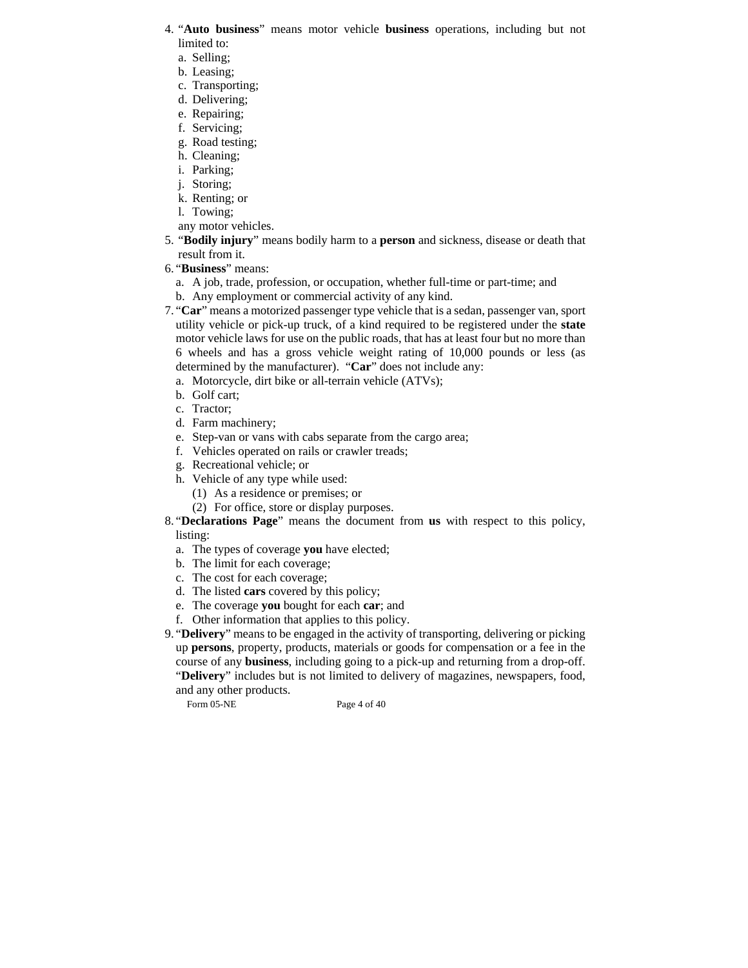- 4. "**Auto business**" means motor vehicle **business** operations, including but not limited to:
	- a. Selling;
	- b. Leasing;
	- c. Transporting;
	- d. Delivering;
	- e. Repairing;
	- f. Servicing;
	- g. Road testing;
	- h. Cleaning;
	- i. Parking;
	- j. Storing;
	- k. Renting; or
	- l. Towing;
	- any motor vehicles.
- 5. "**Bodily injury**" means bodily harm to a **person** and sickness, disease or death that result from it.
- 6. "**Business**" means:
	- a. A job, trade, profession, or occupation, whether full-time or part-time; and
	- b. Any employment or commercial activity of any kind.
- 7. "**Car**" means a motorized passenger type vehicle that is a sedan, passenger van, sport utility vehicle or pick-up truck, of a kind required to be registered under the **state** motor vehicle laws for use on the public roads, that has at least four but no more than 6 wheels and has a gross vehicle weight rating of 10,000 pounds or less (as determined by the manufacturer). "**Car**" does not include any:
	- a. Motorcycle, dirt bike or all-terrain vehicle (ATVs);
	- b. Golf cart;
	- c. Tractor;
	- d. Farm machinery;
	- e. Step-van or vans with cabs separate from the cargo area;
	- f. Vehicles operated on rails or crawler treads;
	- g. Recreational vehicle; or
	- h. Vehicle of any type while used:
		- (1) As a residence or premises; or
		- (2) For office, store or display purposes.
- 8. "**Declarations Page**" means the document from **us** with respect to this policy, listing:
	- a. The types of coverage **you** have elected;
	- b. The limit for each coverage;
	- c. The cost for each coverage;
	- d. The listed **cars** covered by this policy;
	- e. The coverage **you** bought for each **car**; and
	- f. Other information that applies to this policy.

9. "**Delivery**" means to be engaged in the activity of transporting, delivering or picking up **persons**, property, products, materials or goods for compensation or a fee in the course of any **business**, including going to a pick-up and returning from a drop-off. "**Delivery**" includes but is not limited to delivery of magazines, newspapers, food, and any other products.

Form 05-NE Page 4 of 40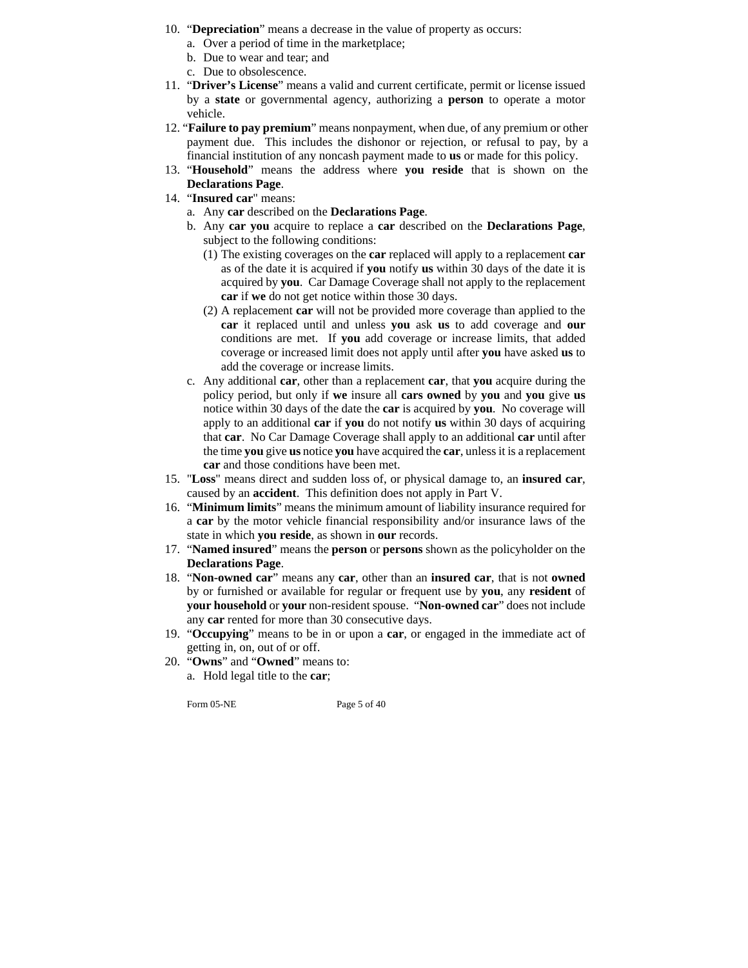- 10. "**Depreciation**" means a decrease in the value of property as occurs:
	- a. Over a period of time in the marketplace;
	- b. Due to wear and tear; and
	- c. Due to obsolescence.
- 11. "**Driver's License**" means a valid and current certificate, permit or license issued by a **state** or governmental agency, authorizing a **person** to operate a motor vehicle.
- 12. "**Failure to pay premium**" means nonpayment, when due, of any premium or other payment due. This includes the dishonor or rejection, or refusal to pay, by a financial institution of any noncash payment made to **us** or made for this policy.
- 13. "**Household**" means the address where **you reside** that is shown on the **Declarations Page**.
- 14. "**Insured car**" means:
	- a. Any **car** described on the **Declarations Page**.
	- b. Any **car you** acquire to replace a **car** described on the **Declarations Page**, subject to the following conditions:
		- (1) The existing coverages on the **car** replaced will apply to a replacement **car**  as of the date it is acquired if **you** notify **us** within 30 days of the date it is acquired by **you**. Car Damage Coverage shall not apply to the replacement **car** if **we** do not get notice within those 30 days.
		- (2) A replacement **car** will not be provided more coverage than applied to the **car** it replaced until and unless **you** ask **us** to add coverage and **our** conditions are met. If **you** add coverage or increase limits, that added coverage or increased limit does not apply until after **you** have asked **us** to add the coverage or increase limits.
	- c. Any additional **car**, other than a replacement **car**, that **you** acquire during the policy period, but only if **we** insure all **cars owned** by **you** and **you** give **us**  notice within 30 days of the date the **car** is acquired by **you**. No coverage will apply to an additional **car** if **you** do not notify **us** within 30 days of acquiring that **car**. No Car Damage Coverage shall apply to an additional **car** until after the time **you** give **us** notice **you** have acquired the **car**, unless it is a replacement **car** and those conditions have been met.
- 15. "**Loss**" means direct and sudden loss of, or physical damage to, an **insured car**, caused by an **accident**. This definition does not apply in Part V.
- 16. "**Minimum limits**" means the minimum amount of liability insurance required for a **car** by the motor vehicle financial responsibility and/or insurance laws of the state in which **you reside**, as shown in **our** records.
- 17. "**Named insured**" means the **person** or **persons** shown as the policyholder on the **Declarations Page**.
- 18. "**Non-owned car**" means any **car**, other than an **insured car**, that is not **owned** by or furnished or available for regular or frequent use by **you**, any **resident** of **your household** or **your** non-resident spouse. "**Non-owned car**" does not include any **car** rented for more than 30 consecutive days.
- 19. "**Occupying**" means to be in or upon a **car**, or engaged in the immediate act of getting in, on, out of or off.
- 20. "**Owns**" and "**Owned**" means to: a. Hold legal title to the **car**;

Form 05-NE Page 5 of 40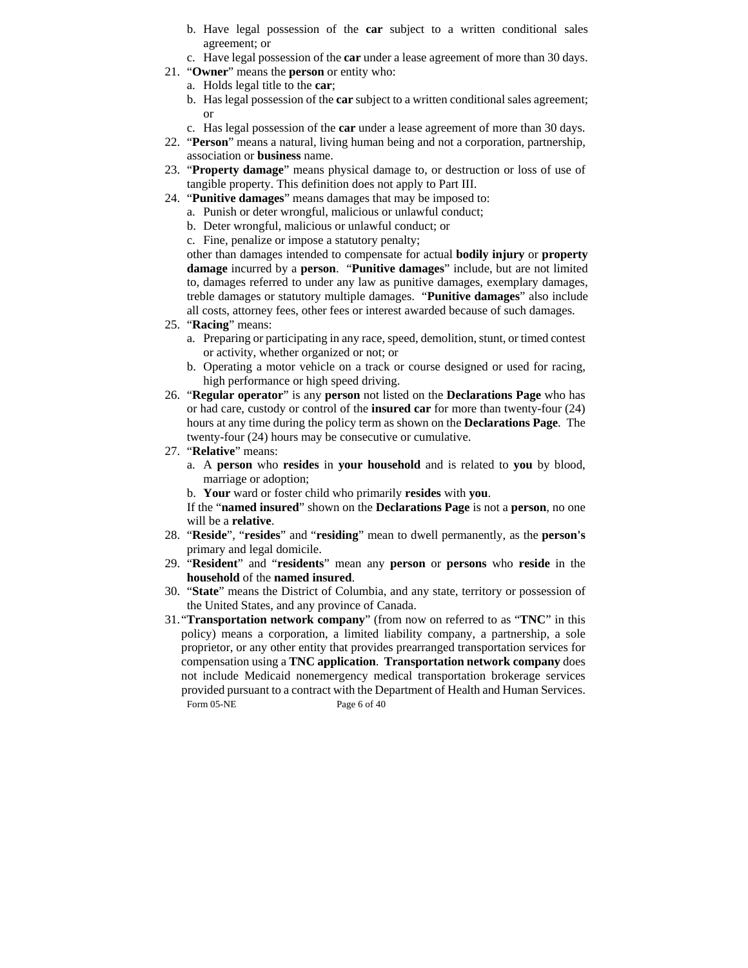- b. Have legal possession of the **car** subject to a written conditional sales agreement; or
- c. Have legal possession of the **car** under a lease agreement of more than 30 days.
- 21. "**Owner**" means the **person** or entity who:
	- a. Holds legal title to the **car**;
	- b. Has legal possession of the **car** subject to a written conditional sales agreement; or
	- c. Has legal possession of the **car** under a lease agreement of more than 30 days.
- 22. "**Person**" means a natural, living human being and not a corporation, partnership, association or **business** name.
- 23. "**Property damage**" means physical damage to, or destruction or loss of use of tangible property. This definition does not apply to Part III.
- 24. "**Punitive damages**" means damages that may be imposed to:
	- a. Punish or deter wrongful, malicious or unlawful conduct;
	- b. Deter wrongful, malicious or unlawful conduct; or
	- c. Fine, penalize or impose a statutory penalty;

other than damages intended to compensate for actual **bodily injury** or **property damage** incurred by a **person**. "**Punitive damages**" include, but are not limited to, damages referred to under any law as punitive damages, exemplary damages, treble damages or statutory multiple damages. "**Punitive damages**" also include all costs, attorney fees, other fees or interest awarded because of such damages.

- 25. "**Racing**" means:
	- a. Preparing or participating in any race, speed, demolition, stunt, or timed contest or activity, whether organized or not; or
	- b. Operating a motor vehicle on a track or course designed or used for racing, high performance or high speed driving.
- 26. "**Regular operator**" is any **person** not listed on the **Declarations Page** who has or had care, custody or control of the **insured car** for more than twenty-four (24) hours at any time during the policy term as shown on the **Declarations Page**. The twenty-four (24) hours may be consecutive or cumulative.
- 27. "**Relative**" means:
	- a. A **person** who **resides** in **your household** and is related to **you** by blood, marriage or adoption;
	- b. **Your** ward or foster child who primarily **resides** with **you**.

If the "**named insured**" shown on the **Declarations Page** is not a **person**, no one will be a **relative**.

- 28. "**Reside**", "**resides**" and "**residing**" mean to dwell permanently, as the **person's** primary and legal domicile.
- 29. "**Resident**" and "**residents**" mean any **person** or **persons** who **reside** in the **household** of the **named insured**.
- 30. "**State**" means the District of Columbia, and any state, territory or possession of the United States, and any province of Canada.
- Form 05-NE Page 6 of 40 31. "**Transportation network company**" (from now on referred to as "**TNC**" in this policy) means a corporation, a limited liability company, a partnership, a sole proprietor, or any other entity that provides prearranged transportation services for compensation using a **TNC application**. **Transportation network company** does not include Medicaid nonemergency medical transportation brokerage services provided pursuant to a contract with the Department of Health and Human Services.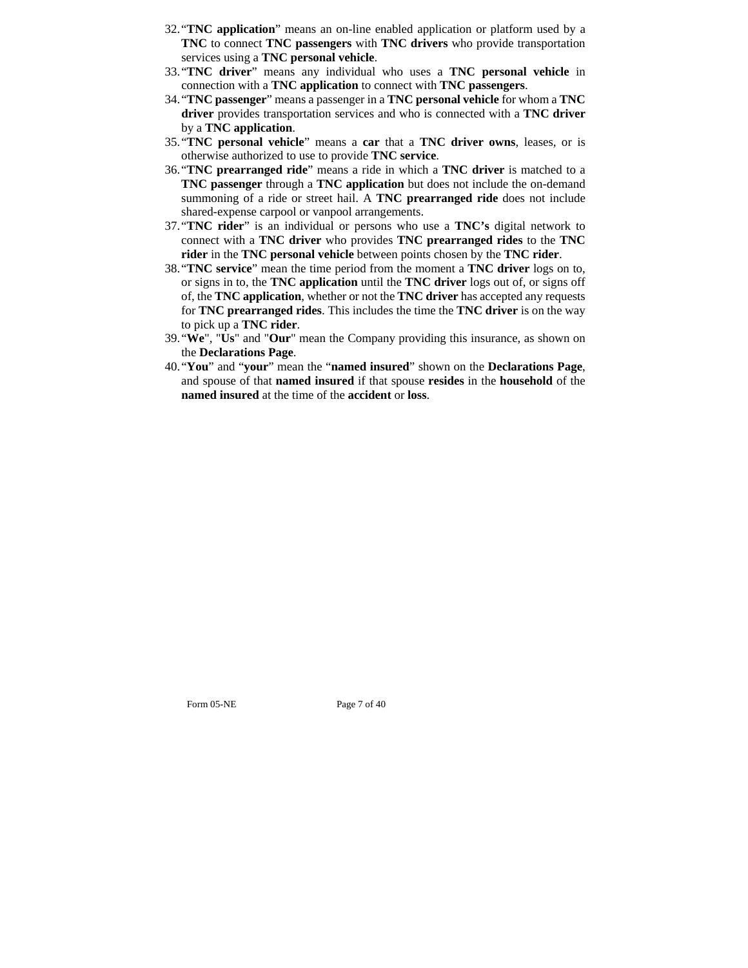- 32. "**TNC application**" means an on-line enabled application or platform used by a **TNC** to connect **TNC passengers** with **TNC drivers** who provide transportation services using a **TNC personal vehicle**.
- 33. "**TNC driver**" means any individual who uses a **TNC personal vehicle** in connection with a **TNC application** to connect with **TNC passengers**.
- 34. "**TNC passenger**" means a passenger in a **TNC personal vehicle** for whom a **TNC driver** provides transportation services and who is connected with a **TNC driver** by a **TNC application**.
- 35. "**TNC personal vehicle**" means a **car** that a **TNC driver owns**, leases, or is otherwise authorized to use to provide **TNC service**.
- 36. "**TNC prearranged ride**" means a ride in which a **TNC driver** is matched to a **TNC passenger** through a **TNC application** but does not include the on-demand summoning of a ride or street hail. A **TNC prearranged ride** does not include shared-expense carpool or vanpool arrangements.
- 37. "**TNC rider**" is an individual or persons who use a **TNC's** digital network to connect with a **TNC driver** who provides **TNC prearranged rides** to the **TNC rider** in the **TNC personal vehicle** between points chosen by the **TNC rider**.
- 38. "**TNC service**" mean the time period from the moment a **TNC driver** logs on to, or signs in to, the **TNC application** until the **TNC driver** logs out of, or signs off of, the **TNC application**, whether or not the **TNC driver** has accepted any requests for **TNC prearranged rides**. This includes the time the **TNC driver** is on the way to pick up a **TNC rider**.
- 39. "**We**", "**Us**" and "**Our**" mean the Company providing this insurance, as shown on the **Declarations Page**.
- 40. "**You**" and "**your**" mean the "**named insured**" shown on the **Declarations Page**, and spouse of that **named insured** if that spouse **resides** in the **household** of the **named insured** at the time of the **accident** or **loss**.

Form 05-NE Page 7 of 40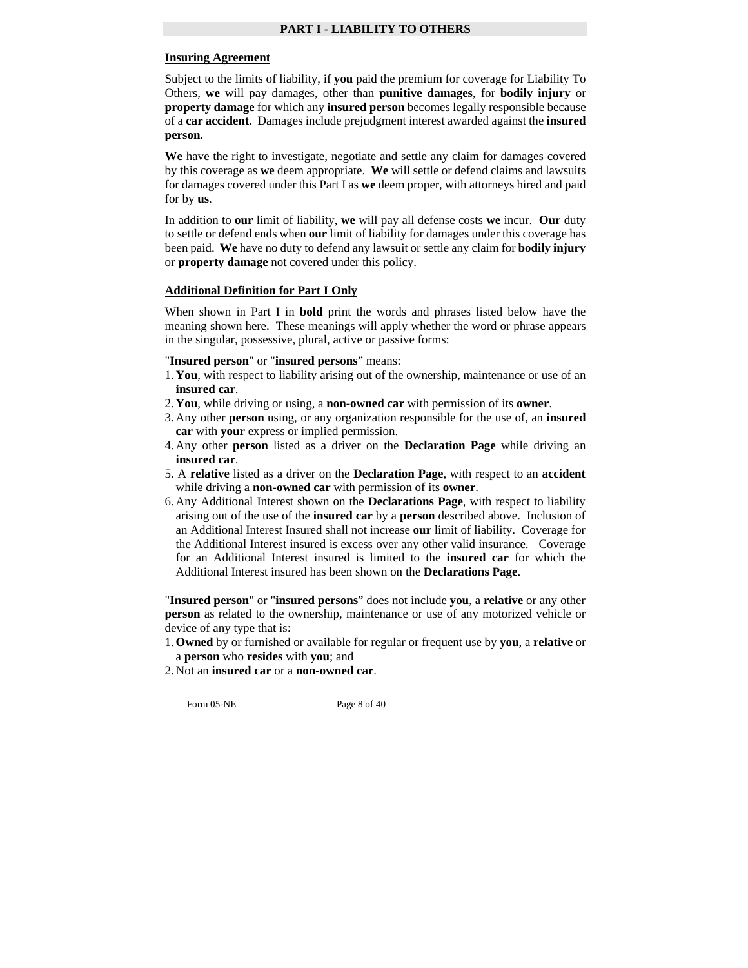#### **Insuring Agreement**

Subject to the limits of liability, if **you** paid the premium for coverage for Liability To Others, **we** will pay damages, other than **punitive damages**, for **bodily injury** or **property damage** for which any **insured person** becomes legally responsible because of a **car accident**. Damages include prejudgment interest awarded against the **insured person**.

**We** have the right to investigate, negotiate and settle any claim for damages covered by this coverage as **we** deem appropriate. **We** will settle or defend claims and lawsuits for damages covered under this Part I as **we** deem proper, with attorneys hired and paid for by **us**.

In addition to **our** limit of liability, **we** will pay all defense costs **we** incur. **Our** duty to settle or defend ends when **our** limit of liability for damages under this coverage has been paid. **We** have no duty to defend any lawsuit or settle any claim for **bodily injury** or **property damage** not covered under this policy.

#### **Additional Definition for Part I Only**

When shown in Part I in **bold** print the words and phrases listed below have the meaning shown here. These meanings will apply whether the word or phrase appears in the singular, possessive, plural, active or passive forms:

#### "**Insured person**" or "**insured persons**" means:

- 1. **You**, with respect to liability arising out of the ownership, maintenance or use of an **insured car**.
- 2. **You**, while driving or using, a **non-owned car** with permission of its **owner**.
- 3. Any other **person** using, or any organization responsible for the use of, an **insured car** with **your** express or implied permission.
- 4. Any other **person** listed as a driver on the **Declaration Page** while driving an **insured car**.
- 5. A **relative** listed as a driver on the **Declaration Page**, with respect to an **accident** while driving a **non-owned car** with permission of its **owner**.
- 6. Any Additional Interest shown on the **Declarations Page**, with respect to liability arising out of the use of the **insured car** by a **person** described above. Inclusion of an Additional Interest Insured shall not increase **our** limit of liability. Coverage for the Additional Interest insured is excess over any other valid insurance. Coverage for an Additional Interest insured is limited to the **insured car** for which the Additional Interest insured has been shown on the **Declarations Page**.

"**Insured person**" or "**insured persons**" does not include **you**, a **relative** or any other **person** as related to the ownership, maintenance or use of any motorized vehicle or device of any type that is:

1. **Owned** by or furnished or available for regular or frequent use by **you**, a **relative** or a **person** who **resides** with **you**; and

2. Not an **insured car** or a **non-owned car**.

Form 05-NE Page 8 of 40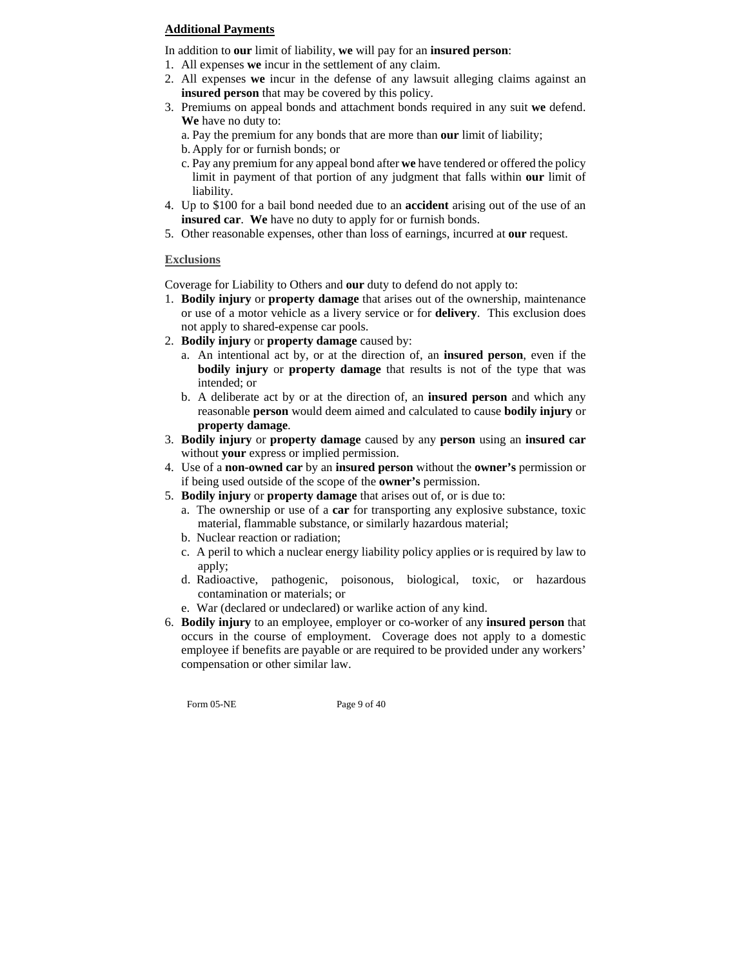# **Additional Payments**

In addition to **our** limit of liability, **we** will pay for an **insured person**:

- 1. All expenses **we** incur in the settlement of any claim.
- 2. All expenses **we** incur in the defense of any lawsuit alleging claims against an **insured person** that may be covered by this policy.
- 3. Premiums on appeal bonds and attachment bonds required in any suit **we** defend. **We** have no duty to:
	- a. Pay the premium for any bonds that are more than **our** limit of liability;
	- b. Apply for or furnish bonds; or
	- c. Pay any premium for any appeal bond after **we** have tendered or offered the policy limit in payment of that portion of any judgment that falls within **our** limit of liability.
- 4. Up to \$100 for a bail bond needed due to an **accident** arising out of the use of an **insured car**. **We** have no duty to apply for or furnish bonds.
- 5. Other reasonable expenses, other than loss of earnings, incurred at **our** request.

# **Exclusions**

Coverage for Liability to Others and **our** duty to defend do not apply to:

- 1. **Bodily injury** or **property damage** that arises out of the ownership, maintenance or use of a motor vehicle as a livery service or for **delivery**. This exclusion does not apply to shared-expense car pools.
- 2. **Bodily injury** or **property damage** caused by:
	- a. An intentional act by, or at the direction of, an **insured person**, even if the **bodily injury** or **property damage** that results is not of the type that was intended; or
	- b. A deliberate act by or at the direction of, an **insured person** and which any reasonable **person** would deem aimed and calculated to cause **bodily injury** or **property damage**.
- 3. **Bodily injury** or **property damage** caused by any **person** using an **insured car** without **your** express or implied permission.
- 4. Use of a **non-owned car** by an **insured person** without the **owner's** permission or if being used outside of the scope of the **owner's** permission.
- 5. **Bodily injury** or **property damage** that arises out of, or is due to:
	- a. The ownership or use of a **car** for transporting any explosive substance, toxic material, flammable substance, or similarly hazardous material;
	- b. Nuclear reaction or radiation;
	- c. A peril to which a nuclear energy liability policy applies or is required by law to apply;
	- d. Radioactive, pathogenic, poisonous, biological, toxic, or hazardous contamination or materials; or
	- e. War (declared or undeclared) or warlike action of any kind.
- 6. **Bodily injury** to an employee, employer or co-worker of any **insured person** that occurs in the course of employment. Coverage does not apply to a domestic employee if benefits are payable or are required to be provided under any workers' compensation or other similar law.

Form 05-NE Page 9 of 40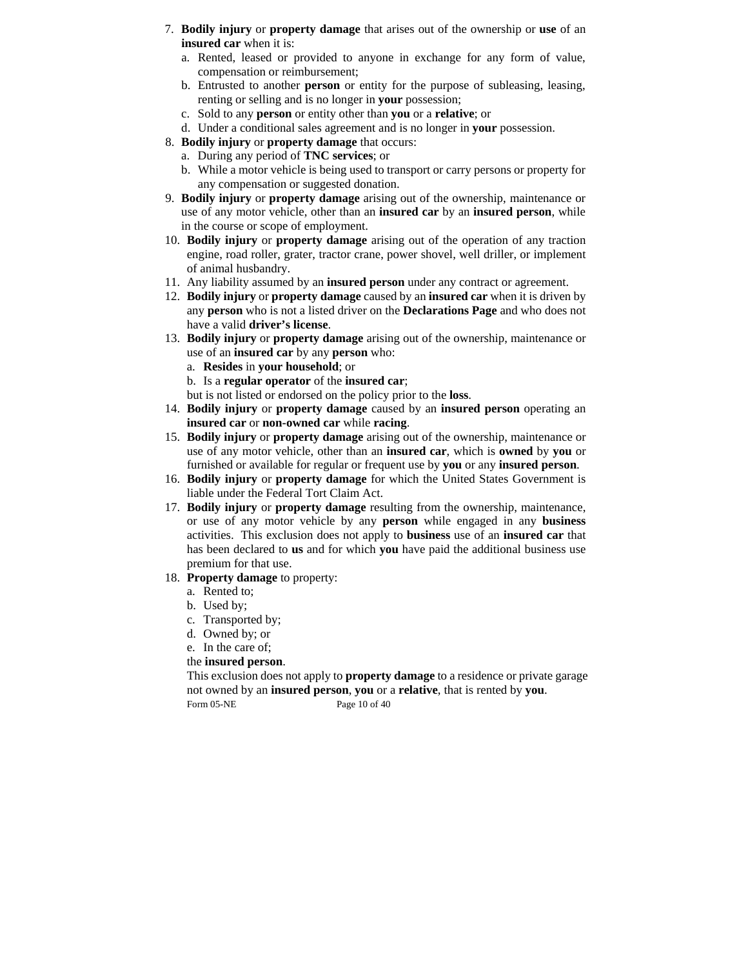- 7. **Bodily injury** or **property damage** that arises out of the ownership or **use** of an **insured car** when it is:
	- a. Rented, leased or provided to anyone in exchange for any form of value, compensation or reimbursement;
	- b. Entrusted to another **person** or entity for the purpose of subleasing, leasing, renting or selling and is no longer in **your** possession;
	- c. Sold to any **person** or entity other than **you** or a **relative**; or
	- d. Under a conditional sales agreement and is no longer in **your** possession.
- 8. **Bodily injury** or **property damage** that occurs:
	- a. During any period of **TNC services**; or
	- b. While a motor vehicle is being used to transport or carry persons or property for any compensation or suggested donation.
- 9. **Bodily injury** or **property damage** arising out of the ownership, maintenance or use of any motor vehicle, other than an **insured car** by an **insured person**, while in the course or scope of employment.
- 10. **Bodily injury** or **property damage** arising out of the operation of any traction engine, road roller, grater, tractor crane, power shovel, well driller, or implement of animal husbandry.
- 11. Any liability assumed by an **insured person** under any contract or agreement.
- 12. **Bodily injury** or **property damage** caused by an **insured car** when it is driven by any **person** who is not a listed driver on the **Declarations Page** and who does not have a valid **driver's license**.
- 13. **Bodily injury** or **property damage** arising out of the ownership, maintenance or use of an **insured car** by any **person** who:
	- a. **Resides** in **your household**; or
	- b. Is a **regular operator** of the **insured car**;

but is not listed or endorsed on the policy prior to the **loss**.

- 14. **Bodily injury** or **property damage** caused by an **insured person** operating an **insured car** or **non-owned car** while **racing**.
- 15. **Bodily injury** or **property damage** arising out of the ownership, maintenance or use of any motor vehicle, other than an **insured car**, which is **owned** by **you** or furnished or available for regular or frequent use by **you** or any **insured person**.
- 16. **Bodily injury** or **property damage** for which the United States Government is liable under the Federal Tort Claim Act.
- 17. **Bodily injury** or **property damage** resulting from the ownership, maintenance, or use of any motor vehicle by any **person** while engaged in any **business** activities. This exclusion does not apply to **business** use of an **insured car** that has been declared to **us** and for which **you** have paid the additional business use premium for that use.
- 18. **Property damage** to property:
	- a. Rented to;
	- b. Used by;
	- c. Transported by;
	- d. Owned by; or
	- e. In the care of;
	- the **insured person**.

Form 05-NE Page 10 of 40 This exclusion does not apply to **property damage** to a residence or private garage not owned by an **insured person**, **you** or a **relative**, that is rented by **you**.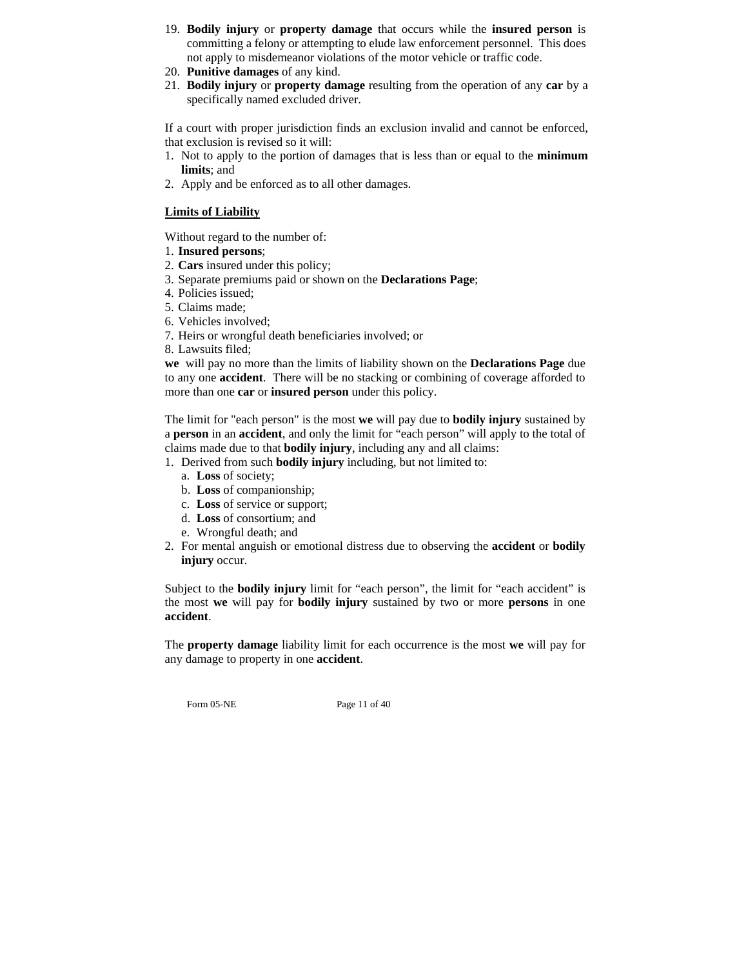- 19. **Bodily injury** or **property damage** that occurs while the **insured person** is committing a felony or attempting to elude law enforcement personnel. This does not apply to misdemeanor violations of the motor vehicle or traffic code.
- 20. **Punitive damages** of any kind.
- 21. **Bodily injury** or **property damage** resulting from the operation of any **car** by a specifically named excluded driver.

If a court with proper jurisdiction finds an exclusion invalid and cannot be enforced, that exclusion is revised so it will:

- 1. Not to apply to the portion of damages that is less than or equal to the **minimum limits**; and
- 2. Apply and be enforced as to all other damages.

# **Limits of Liability**

Without regard to the number of:

- 1. **Insured persons**;
- 2. **Cars** insured under this policy;
- 3. Separate premiums paid or shown on the **Declarations Page**;
- 4. Policies issued;
- 5. Claims made;
- 6. Vehicles involved;
- 7. Heirs or wrongful death beneficiaries involved; or
- 8. Lawsuits filed;

**we** will pay no more than the limits of liability shown on the **Declarations Page** due to any one **accident**. There will be no stacking or combining of coverage afforded to more than one **car** or **insured person** under this policy.

The limit for "each person" is the most **we** will pay due to **bodily injury** sustained by a **person** in an **accident**, and only the limit for "each person" will apply to the total of claims made due to that **bodily injury**, including any and all claims:

- 1. Derived from such **bodily injury** including, but not limited to:
	- a. **Loss** of society;
	- b. **Loss** of companionship;
	- c. **Loss** of service or support;
	- d. **Loss** of consortium; and
	- e. Wrongful death; and
- 2. For mental anguish or emotional distress due to observing the **accident** or **bodily injury** occur.

Subject to the **bodily injury** limit for "each person", the limit for "each accident" is the most **we** will pay for **bodily injury** sustained by two or more **persons** in one **accident**.

The **property damage** liability limit for each occurrence is the most **we** will pay for any damage to property in one **accident**.

Form 05-NE Page 11 of 40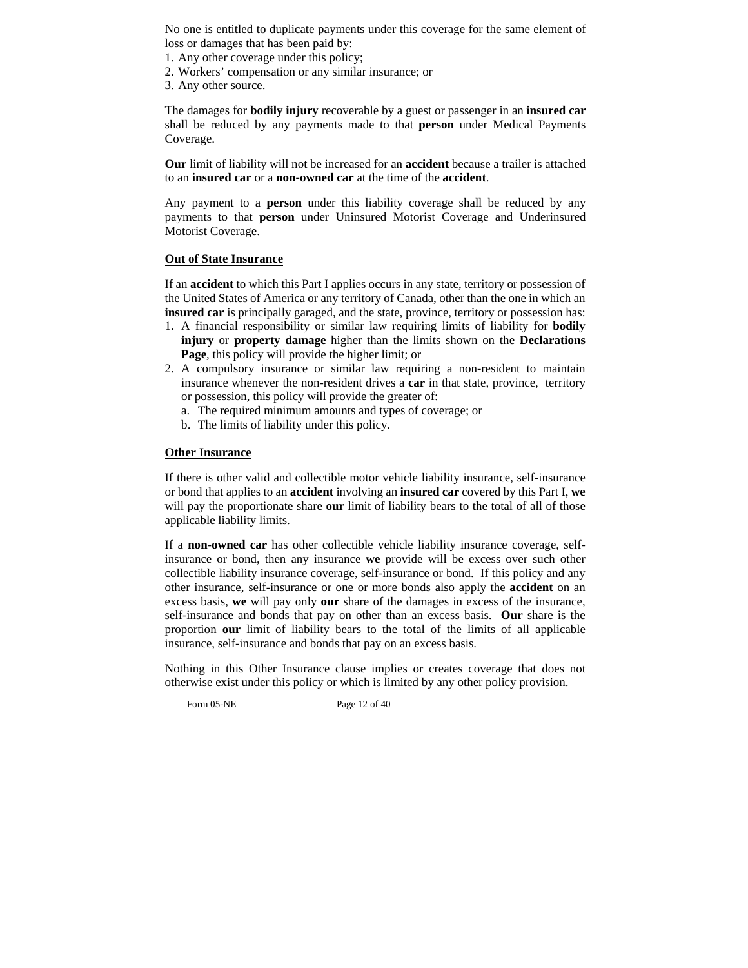No one is entitled to duplicate payments under this coverage for the same element of loss or damages that has been paid by:

1. Any other coverage under this policy;

- 2. Workers' compensation or any similar insurance; or
- 3. Any other source.

The damages for **bodily injury** recoverable by a guest or passenger in an **insured car** shall be reduced by any payments made to that **person** under Medical Payments Coverage.

**Our** limit of liability will not be increased for an **accident** because a trailer is attached to an **insured car** or a **non-owned car** at the time of the **accident**.

Any payment to a **person** under this liability coverage shall be reduced by any payments to that **person** under Uninsured Motorist Coverage and Underinsured Motorist Coverage.

# **Out of State Insurance**

If an **accident** to which this Part I applies occurs in any state, territory or possession of the United States of America or any territory of Canada, other than the one in which an **insured car** is principally garaged, and the state, province, territory or possession has:

- 1. A financial responsibility or similar law requiring limits of liability for **bodily injury** or **property damage** higher than the limits shown on the **Declarations Page**, this policy will provide the higher limit; or
- 2. A compulsory insurance or similar law requiring a non-resident to maintain insurance whenever the non-resident drives a **car** in that state, province, territory or possession, this policy will provide the greater of:
	- a. The required minimum amounts and types of coverage; or
	- b. The limits of liability under this policy.

# **Other Insurance**

If there is other valid and collectible motor vehicle liability insurance, self-insurance or bond that applies to an **accident** involving an **insured car** covered by this Part I, **we**  will pay the proportionate share **our** limit of liability bears to the total of all of those applicable liability limits.

If a **non-owned car** has other collectible vehicle liability insurance coverage, selfinsurance or bond, then any insurance **we** provide will be excess over such other collectible liability insurance coverage, self-insurance or bond. If this policy and any other insurance, self-insurance or one or more bonds also apply the **accident** on an excess basis, **we** will pay only **our** share of the damages in excess of the insurance, self-insurance and bonds that pay on other than an excess basis. **Our** share is the proportion **our** limit of liability bears to the total of the limits of all applicable insurance, self-insurance and bonds that pay on an excess basis.

Nothing in this Other Insurance clause implies or creates coverage that does not otherwise exist under this policy or which is limited by any other policy provision.

Form 05-NE Page 12 of 40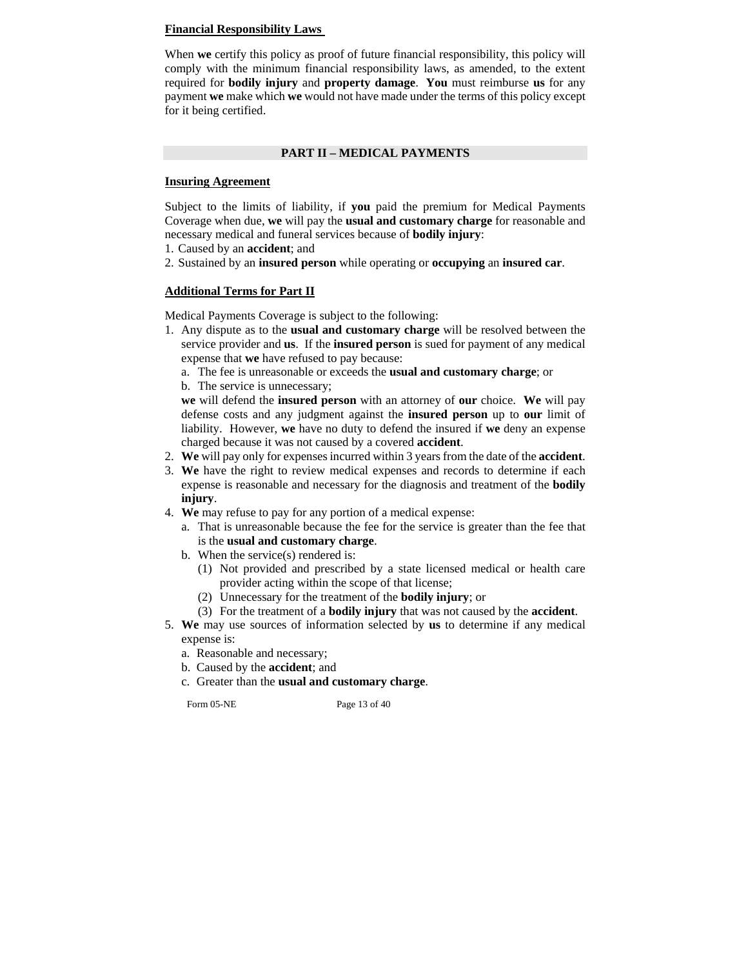#### **Financial Responsibility Laws**

When **we** certify this policy as proof of future financial responsibility, this policy will comply with the minimum financial responsibility laws, as amended, to the extent required for **bodily injury** and **property damage**. **You** must reimburse **us** for any payment **we** make which **we** would not have made under the terms of this policy except for it being certified.

#### **PART II – MEDICAL PAYMENTS**

#### **Insuring Agreement**

Subject to the limits of liability, if **you** paid the premium for Medical Payments Coverage when due, **we** will pay the **usual and customary charge** for reasonable and necessary medical and funeral services because of **bodily injury**:

- 1. Caused by an **accident**; and
- 2. Sustained by an **insured person** while operating or **occupying** an **insured car**.

## **Additional Terms for Part II**

Medical Payments Coverage is subject to the following:

1. Any dispute as to the **usual and customary charge** will be resolved between the service provider and **us**. If the **insured person** is sued for payment of any medical expense that **we** have refused to pay because:

a. The fee is unreasonable or exceeds the **usual and customary charge**; or

b. The service is unnecessary;

**we** will defend the **insured person** with an attorney of **our** choice. **We** will pay defense costs and any judgment against the **insured person** up to **our** limit of liability. However, **we** have no duty to defend the insured if **we** deny an expense charged because it was not caused by a covered **accident**.

- 2. **We** will pay only for expenses incurred within 3 years from the date of the **accident**.
- 3. **We** have the right to review medical expenses and records to determine if each expense is reasonable and necessary for the diagnosis and treatment of the **bodily injury**.
- 4. **We** may refuse to pay for any portion of a medical expense:
	- a. That is unreasonable because the fee for the service is greater than the fee that is the **usual and customary charge**.
	- b. When the service(s) rendered is:
		- (1) Not provided and prescribed by a state licensed medical or health care provider acting within the scope of that license;
		- (2) Unnecessary for the treatment of the **bodily injury**; or
		- (3) For the treatment of a **bodily injury** that was not caused by the **accident**.
- 5. **We** may use sources of information selected by **us** to determine if any medical expense is:
	- a. Reasonable and necessary;
	- b. Caused by the **accident**; and
	- c. Greater than the **usual and customary charge**.

Form 05-NE Page 13 of 40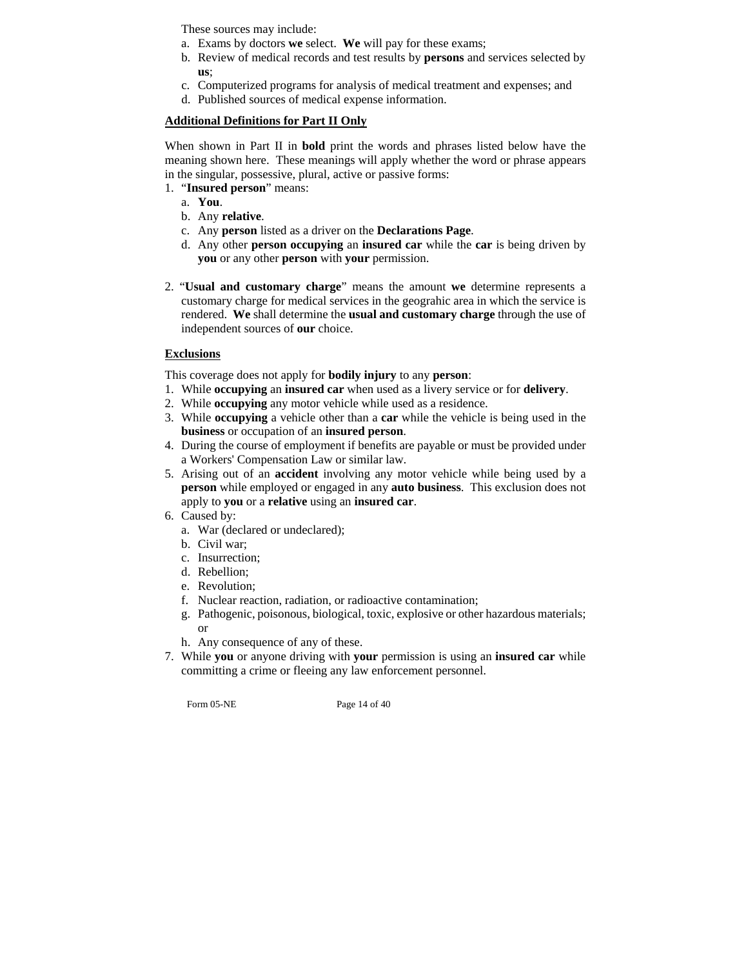These sources may include:

- a. Exams by doctors **we** select. **We** will pay for these exams;
- b. Review of medical records and test results by **persons** and services selected by **us**;
- c. Computerized programs for analysis of medical treatment and expenses; and
- d. Published sources of medical expense information.

# **Additional Definitions for Part II Only**

When shown in Part II in **bold** print the words and phrases listed below have the meaning shown here. These meanings will apply whether the word or phrase appears in the singular, possessive, plural, active or passive forms:

- 1. "**Insured person**" means:
	- a. **You**.
	- b. Any **relative**.
	- c. Any **person** listed as a driver on the **Declarations Page**.
	- d. Any other **person occupying** an **insured car** while the **car** is being driven by **you** or any other **person** with **your** permission.
- 2. "**Usual and customary charge**" means the amount **we** determine represents a customary charge for medical services in the geograhic area in which the service is rendered. **We** shall determine the **usual and customary charge** through the use of independent sources of **our** choice.

# **Exclusions**

This coverage does not apply for **bodily injury** to any **person**:

- 1. While **occupying** an **insured car** when used as a livery service or for **delivery**.
- 2. While **occupying** any motor vehicle while used as a residence.
- 3. While **occupying** a vehicle other than a **car** while the vehicle is being used in the **business** or occupation of an **insured person**.
- 4. During the course of employment if benefits are payable or must be provided under a Workers' Compensation Law or similar law.
- 5. Arising out of an **accident** involving any motor vehicle while being used by a **person** while employed or engaged in any **auto business**. This exclusion does not apply to **you** or a **relative** using an **insured car**.
- 6. Caused by:
	- a. War (declared or undeclared);
	- b. Civil war;
	- c. Insurrection;
	- d. Rebellion;
	- e. Revolution;
	- f. Nuclear reaction, radiation, or radioactive contamination;
	- g. Pathogenic, poisonous, biological, toxic, explosive or other hazardous materials; or
	- h. Any consequence of any of these.
- 7. While **you** or anyone driving with **your** permission is using an **insured car** while committing a crime or fleeing any law enforcement personnel.

Form 05-NE Page 14 of 40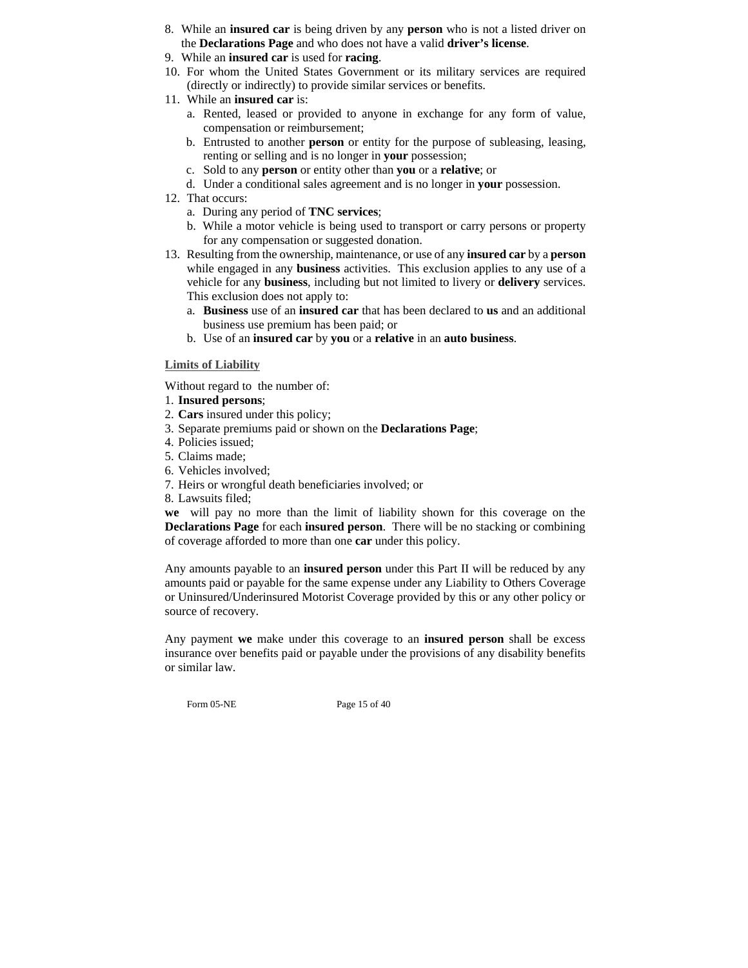- 8. While an **insured car** is being driven by any **person** who is not a listed driver on the **Declarations Page** and who does not have a valid **driver's license**.
- 9. While an **insured car** is used for **racing**.
- 10. For whom the United States Government or its military services are required (directly or indirectly) to provide similar services or benefits.
- 11. While an **insured car** is:
	- a. Rented, leased or provided to anyone in exchange for any form of value, compensation or reimbursement;
	- b. Entrusted to another **person** or entity for the purpose of subleasing, leasing, renting or selling and is no longer in **your** possession;
	- c. Sold to any **person** or entity other than **you** or a **relative**; or
	- d. Under a conditional sales agreement and is no longer in **your** possession.
- 12. That occurs:
	- a. During any period of **TNC services**;
	- b. While a motor vehicle is being used to transport or carry persons or property for any compensation or suggested donation.
- 13. Resulting from the ownership, maintenance, or use of any **insured car** by a **person** while engaged in any **business** activities. This exclusion applies to any use of a vehicle for any **business**, including but not limited to livery or **delivery** services. This exclusion does not apply to:
	- a. **Business** use of an **insured car** that has been declared to **us** and an additional business use premium has been paid; or
	- b. Use of an **insured car** by **you** or a **relative** in an **auto business**.

# **Limits of Liability**

Without regard to the number of:

- 1. **Insured persons**;
- 2. **Cars** insured under this policy;
- 3. Separate premiums paid or shown on the **Declarations Page**;
- 4. Policies issued;
- 5. Claims made;
- 6. Vehicles involved;
- 7. Heirs or wrongful death beneficiaries involved; or
- 8. Lawsuits filed;

**we** will pay no more than the limit of liability shown for this coverage on the **Declarations Page** for each **insured person**. There will be no stacking or combining of coverage afforded to more than one **car** under this policy.

Any amounts payable to an **insured person** under this Part II will be reduced by any amounts paid or payable for the same expense under any Liability to Others Coverage or Uninsured/Underinsured Motorist Coverage provided by this or any other policy or source of recovery.

Any payment **we** make under this coverage to an **insured person** shall be excess insurance over benefits paid or payable under the provisions of any disability benefits or similar law.

Form 05-NE Page 15 of 40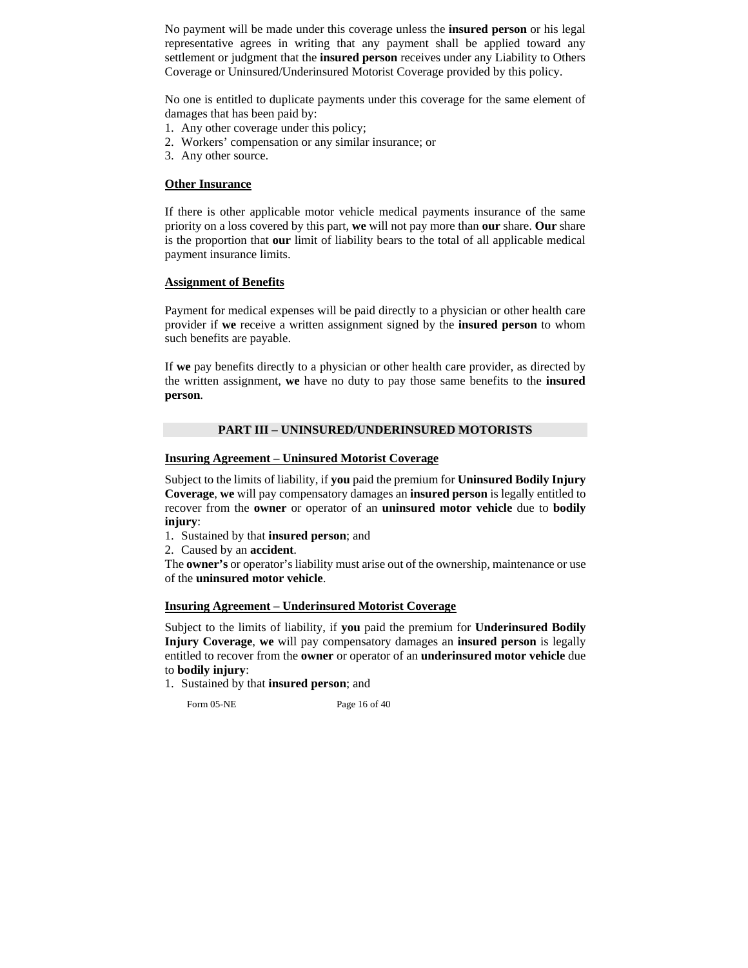No payment will be made under this coverage unless the **insured person** or his legal representative agrees in writing that any payment shall be applied toward any settlement or judgment that the **insured person** receives under any Liability to Others Coverage or Uninsured/Underinsured Motorist Coverage provided by this policy.

No one is entitled to duplicate payments under this coverage for the same element of damages that has been paid by:

- 1. Any other coverage under this policy;
- 2. Workers' compensation or any similar insurance; or
- 3. Any other source.

#### **Other Insurance**

If there is other applicable motor vehicle medical payments insurance of the same priority on a loss covered by this part, **we** will not pay more than **our** share. **Our** share is the proportion that **our** limit of liability bears to the total of all applicable medical payment insurance limits.

#### **Assignment of Benefits**

Payment for medical expenses will be paid directly to a physician or other health care provider if **we** receive a written assignment signed by the **insured person** to whom such benefits are payable.

If **we** pay benefits directly to a physician or other health care provider, as directed by the written assignment, **we** have no duty to pay those same benefits to the **insured person**.

# **PART III – UNINSURED/UNDERINSURED MOTORISTS**

#### **Insuring Agreement – Uninsured Motorist Coverage**

Subject to the limits of liability, if **you** paid the premium for **Uninsured Bodily Injury Coverage**, **we** will pay compensatory damages an **insured person** is legally entitled to recover from the **owner** or operator of an **uninsured motor vehicle** due to **bodily injury**:

1. Sustained by that **insured person**; and

2. Caused by an **accident**.

The **owner's** or operator's liability must arise out of the ownership, maintenance or use of the **uninsured motor vehicle**.

#### **Insuring Agreement – Underinsured Motorist Coverage**

Subject to the limits of liability, if **you** paid the premium for **Underinsured Bodily Injury Coverage**, **we** will pay compensatory damages an **insured person** is legally entitled to recover from the **owner** or operator of an **underinsured motor vehicle** due to **bodily injury**:

1. Sustained by that **insured person**; and

Form 05-NE Page 16 of 40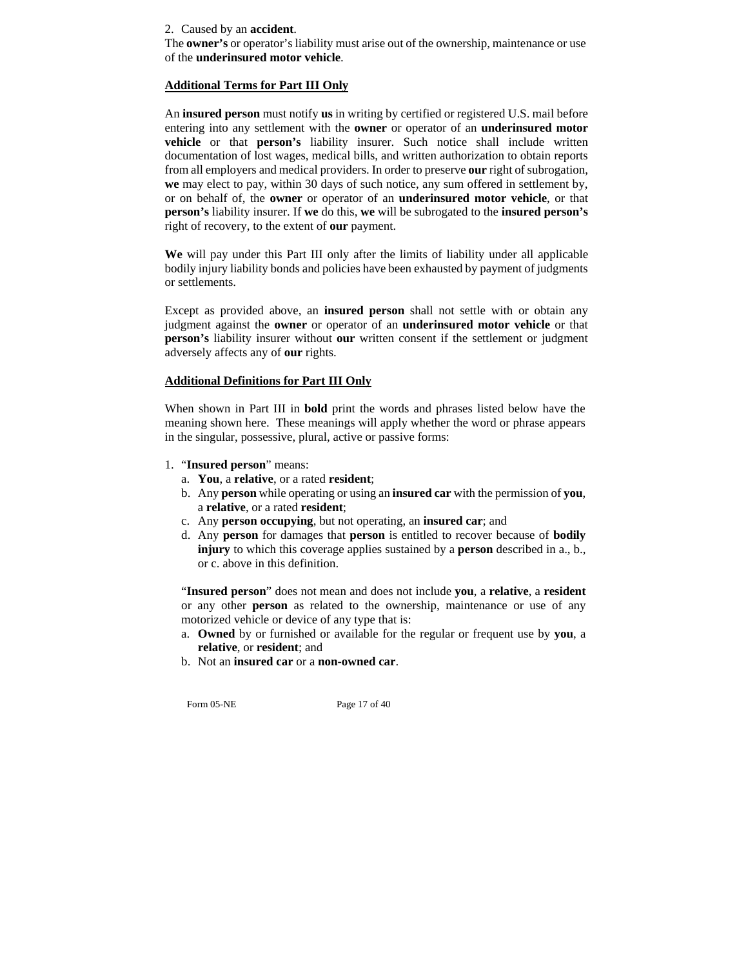2. Caused by an **accident**.

The **owner's** or operator's liability must arise out of the ownership, maintenance or use of the **underinsured motor vehicle**.

## **Additional Terms for Part III Only**

An **insured person** must notify **us** in writing by certified or registered U.S. mail before entering into any settlement with the **owner** or operator of an **underinsured motor vehicle** or that **person's** liability insurer. Such notice shall include written documentation of lost wages, medical bills, and written authorization to obtain reports from all employers and medical providers. In order to preserve **our** right of subrogation, **we** may elect to pay, within 30 days of such notice, any sum offered in settlement by, or on behalf of, the **owner** or operator of an **underinsured motor vehicle**, or that **person's** liability insurer. If **we** do this, **we** will be subrogated to the **insured person's** right of recovery, to the extent of **our** payment.

**We** will pay under this Part III only after the limits of liability under all applicable bodily injury liability bonds and policies have been exhausted by payment of judgments or settlements.

Except as provided above, an **insured person** shall not settle with or obtain any judgment against the **owner** or operator of an **underinsured motor vehicle** or that **person's** liability insurer without **our** written consent if the settlement or judgment adversely affects any of **our** rights.

## **Additional Definitions for Part III Only**

When shown in Part III in **bold** print the words and phrases listed below have the meaning shown here. These meanings will apply whether the word or phrase appears in the singular, possessive, plural, active or passive forms:

- 1. "**Insured person**" means:
	- a. **You**, a **relative**, or a rated **resident**;
	- b. Any **person** while operating or using an **insured car** with the permission of **you**, a **relative**, or a rated **resident**;
	- c. Any **person occupying**, but not operating, an **insured car**; and
	- d. Any **person** for damages that **person** is entitled to recover because of **bodily injury** to which this coverage applies sustained by a **person** described in a., b., or c. above in this definition.

"**Insured person**" does not mean and does not include **you**, a **relative**, a **resident** or any other **person** as related to the ownership, maintenance or use of any motorized vehicle or device of any type that is:

- a. **Owned** by or furnished or available for the regular or frequent use by **you**, a **relative**, or **resident**; and
- b. Not an **insured car** or a **non-owned car**.

Form 05-NE Page 17 of 40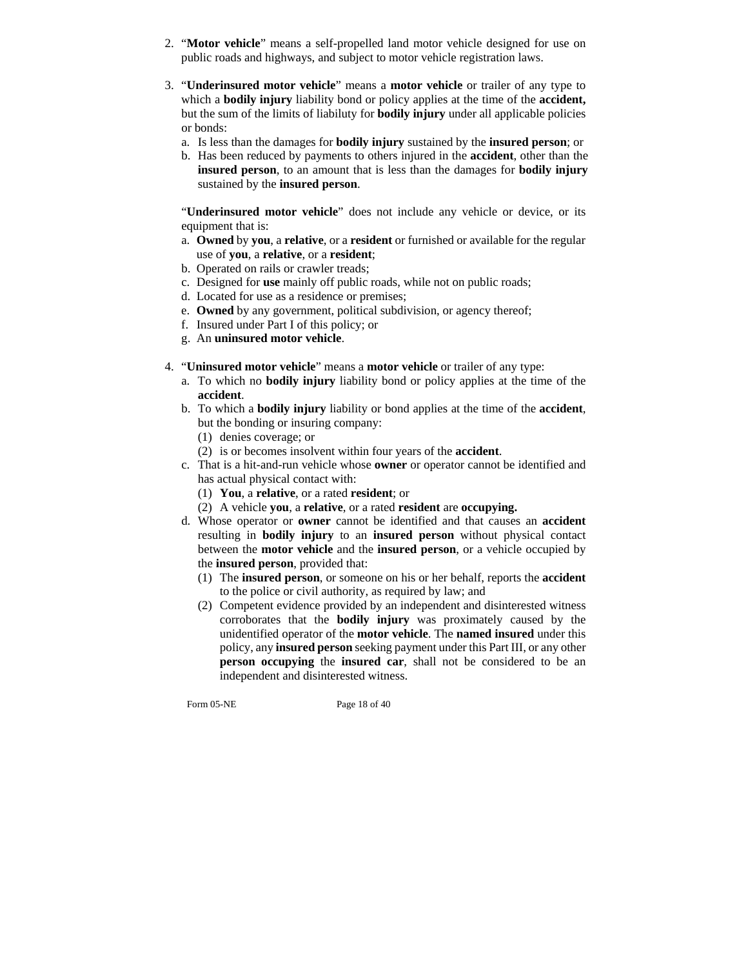- 2. "**Motor vehicle**" means a self-propelled land motor vehicle designed for use on public roads and highways, and subject to motor vehicle registration laws.
- 3. "**Underinsured motor vehicle**" means a **motor vehicle** or trailer of any type to which a **bodily injury** liability bond or policy applies at the time of the **accident,**  but the sum of the limits of liabiluty for **bodily injury** under all applicable policies or bonds:
	- a. Is less than the damages for **bodily injury** sustained by the **insured person**; or
	- b. Has been reduced by payments to others injured in the **accident**, other than the **insured person**, to an amount that is less than the damages for **bodily injury** sustained by the **insured person**.

"**Underinsured motor vehicle**" does not include any vehicle or device, or its equipment that is:

- a. **Owned** by **you**, a **relative**, or a **resident** or furnished or available for the regular use of **you**, a **relative**, or a **resident**;
- b. Operated on rails or crawler treads;
- c. Designed for **use** mainly off public roads, while not on public roads;
- d. Located for use as a residence or premises;
- e. **Owned** by any government, political subdivision, or agency thereof;
- f. Insured under Part I of this policy; or
- g. An **uninsured motor vehicle**.
- 4. "**Uninsured motor vehicle**" means a **motor vehicle** or trailer of any type:
	- a. To which no **bodily injury** liability bond or policy applies at the time of the **accident**.
	- b. To which a **bodily injury** liability or bond applies at the time of the **accident**, but the bonding or insuring company:
		- (1) denies coverage; or
		- (2) is or becomes insolvent within four years of the **accident**.
	- c. That is a hit-and-run vehicle whose **owner** or operator cannot be identified and has actual physical contact with:
		- (1) **You**, a **relative**, or a rated **resident**; or
		- (2) A vehicle **you**, a **relative**, or a rated **resident** are **occupying.**
	- d. Whose operator or **owner** cannot be identified and that causes an **accident** resulting in **bodily injury** to an **insured person** without physical contact between the **motor vehicle** and the **insured person**, or a vehicle occupied by the **insured person**, provided that:
		- (1) The **insured person**, or someone on his or her behalf, reports the **accident** to the police or civil authority, as required by law; and
		- (2) Competent evidence provided by an independent and disinterested witness corroborates that the **bodily injury** was proximately caused by the unidentified operator of the **motor vehicle**. The **named insured** under this policy, any **insured person** seeking payment under this Part III, or any other **person occupying** the **insured car**, shall not be considered to be an independent and disinterested witness.

Form 05-NE Page 18 of 40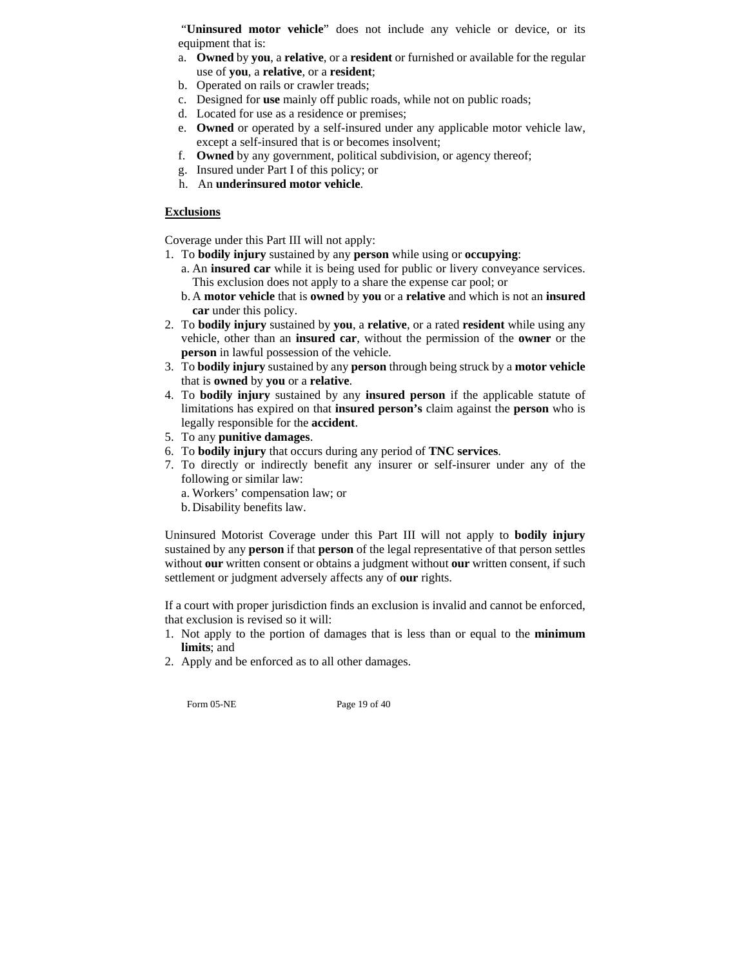"**Uninsured motor vehicle**" does not include any vehicle or device, or its equipment that is:

- a. **Owned** by **you**, a **relative**, or a **resident** or furnished or available for the regular use of **you**, a **relative**, or a **resident**;
- b. Operated on rails or crawler treads;
- c. Designed for **use** mainly off public roads, while not on public roads;
- d. Located for use as a residence or premises;
- e. **Owned** or operated by a self-insured under any applicable motor vehicle law, except a self-insured that is or becomes insolvent;
- f. **Owned** by any government, political subdivision, or agency thereof;
- g. Insured under Part I of this policy; or
- h. An **underinsured motor vehicle**.

# **Exclusions**

Coverage under this Part III will not apply:

- 1. To **bodily injury** sustained by any **person** while using or **occupying**:
	- a. An **insured car** while it is being used for public or livery conveyance services. This exclusion does not apply to a share the expense car pool; or
	- b. A **motor vehicle** that is **owned** by **you** or a **relative** and which is not an **insured car** under this policy.
- 2. To **bodily injury** sustained by **you**, a **relative**, or a rated **resident** while using any vehicle, other than an **insured car**, without the permission of the **owner** or the **person** in lawful possession of the vehicle.
- 3. To **bodily injury** sustained by any **person** through being struck by a **motor vehicle** that is **owned** by **you** or a **relative**.
- 4. To **bodily injury** sustained by any **insured person** if the applicable statute of limitations has expired on that **insured person's** claim against the **person** who is legally responsible for the **accident**.
- 5. To any **punitive damages**.
- 6. To **bodily injury** that occurs during any period of **TNC services**.
- 7. To directly or indirectly benefit any insurer or self-insurer under any of the following or similar law:
	- a. Workers' compensation law; or
	- b. Disability benefits law.

Uninsured Motorist Coverage under this Part III will not apply to **bodily injury** sustained by any **person** if that **person** of the legal representative of that person settles without **our** written consent or obtains a judgment without **our** written consent, if such settlement or judgment adversely affects any of **our** rights.

If a court with proper jurisdiction finds an exclusion is invalid and cannot be enforced, that exclusion is revised so it will:

- 1. Not apply to the portion of damages that is less than or equal to the **minimum limits**; and
- 2. Apply and be enforced as to all other damages.

Form 05-NE Page 19 of 40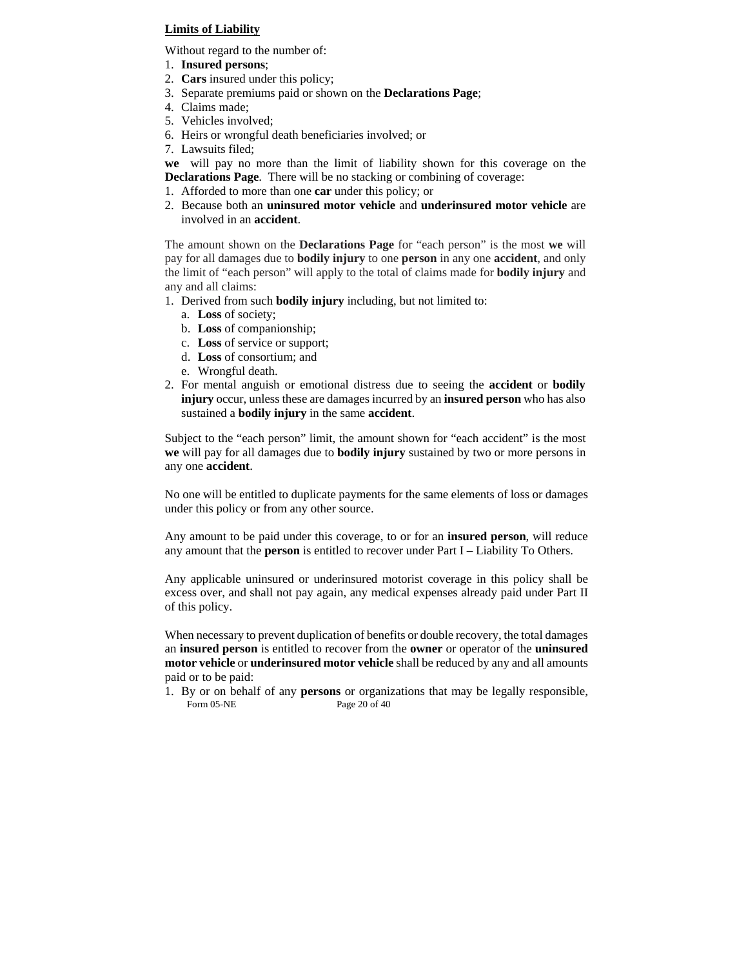# **Limits of Liability**

Without regard to the number of:

- 1. **Insured persons**;
- 2. **Cars** insured under this policy;
- 3. Separate premiums paid or shown on the **Declarations Page**;
- 4. Claims made;
- 5. Vehicles involved;
- 6. Heirs or wrongful death beneficiaries involved; or
- 7. Lawsuits filed;

**we** will pay no more than the limit of liability shown for this coverage on the **Declarations Page**. There will be no stacking or combining of coverage:

- 1. Afforded to more than one **car** under this policy; or
- 2. Because both an **uninsured motor vehicle** and **underinsured motor vehicle** are involved in an **accident**.

The amount shown on the **Declarations Page** for "each person" is the most **we** will pay for all damages due to **bodily injury** to one **person** in any one **accident**, and only the limit of "each person" will apply to the total of claims made for **bodily injury** and any and all claims:

- 1. Derived from such **bodily injury** including, but not limited to:
	- a. **Loss** of society;
	- b. **Loss** of companionship;
	- c. **Loss** of service or support;
	- d. **Loss** of consortium; and
	- e. Wrongful death.
- 2. For mental anguish or emotional distress due to seeing the **accident** or **bodily injury** occur, unless these are damages incurred by an **insured person** who has also sustained a **bodily injury** in the same **accident**.

Subject to the "each person" limit, the amount shown for "each accident" is the most **we** will pay for all damages due to **bodily injury** sustained by two or more persons in any one **accident**.

No one will be entitled to duplicate payments for the same elements of loss or damages under this policy or from any other source.

Any amount to be paid under this coverage, to or for an **insured person**, will reduce any amount that the **person** is entitled to recover under Part I – Liability To Others.

Any applicable uninsured or underinsured motorist coverage in this policy shall be excess over, and shall not pay again, any medical expenses already paid under Part II of this policy.

When necessary to prevent duplication of benefits or double recovery, the total damages an **insured person** is entitled to recover from the **owner** or operator of the **uninsured motor vehicle** or **underinsured motor vehicle** shall be reduced by any and all amounts paid or to be paid:

Form 05-NE Page 20 of 40 1. By or on behalf of any **persons** or organizations that may be legally responsible,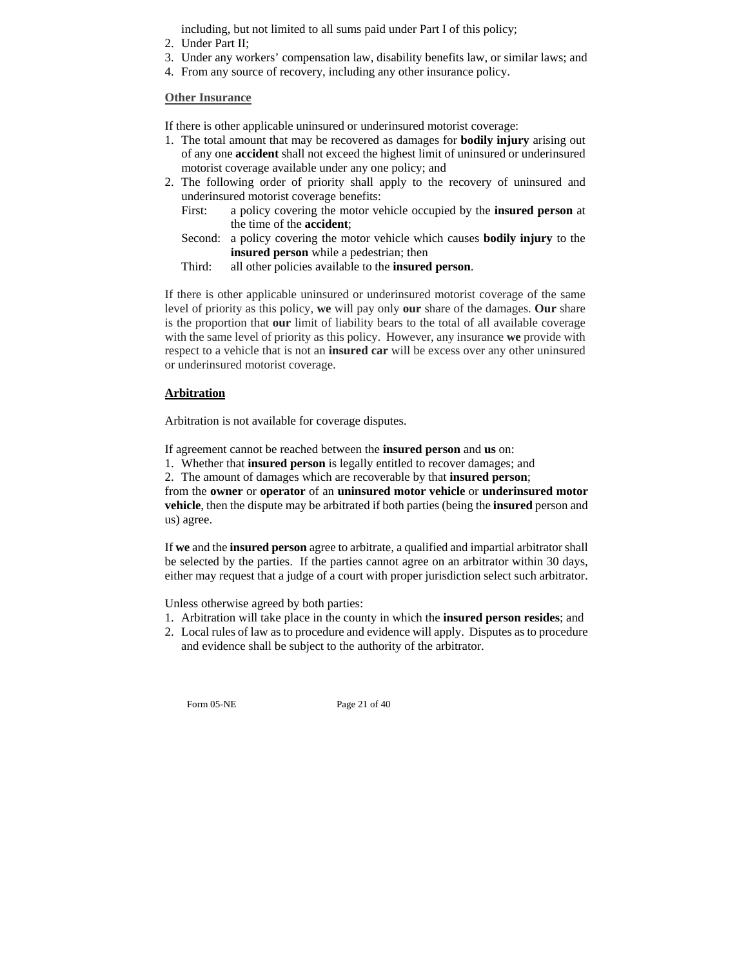including, but not limited to all sums paid under Part I of this policy;

- 2. Under Part II;
- 3. Under any workers' compensation law, disability benefits law, or similar laws; and
- 4. From any source of recovery, including any other insurance policy.

#### **Other Insurance**

If there is other applicable uninsured or underinsured motorist coverage:

- 1. The total amount that may be recovered as damages for **bodily injury** arising out of any one **accident** shall not exceed the highest limit of uninsured or underinsured motorist coverage available under any one policy; and
- 2. The following order of priority shall apply to the recovery of uninsured and underinsured motorist coverage benefits:
	- First: a policy covering the motor vehicle occupied by the **insured person** at the time of the **accident**;
	- Second: a policy covering the motor vehicle which causes **bodily injury** to the **insured person** while a pedestrian; then
	- Third: all other policies available to the **insured person**.

If there is other applicable uninsured or underinsured motorist coverage of the same level of priority as this policy, **we** will pay only **our** share of the damages. **Our** share is the proportion that **our** limit of liability bears to the total of all available coverage with the same level of priority as this policy. However, any insurance **we** provide with respect to a vehicle that is not an **insured car** will be excess over any other uninsured or underinsured motorist coverage.

#### **Arbitration**

Arbitration is not available for coverage disputes.

If agreement cannot be reached between the **insured person** and **us** on:

1. Whether that **insured person** is legally entitled to recover damages; and

2. The amount of damages which are recoverable by that **insured person**;

from the **owner** or **operator** of an **uninsured motor vehicle** or **underinsured motor vehicle**, then the dispute may be arbitrated if both parties (being the **insured** person and us) agree.

If **we** and the **insured person** agree to arbitrate, a qualified and impartial arbitrator shall be selected by the parties. If the parties cannot agree on an arbitrator within 30 days, either may request that a judge of a court with proper jurisdiction select such arbitrator.

Unless otherwise agreed by both parties:

- 1. Arbitration will take place in the county in which the **insured person resides**; and
- 2. Local rules of law as to procedure and evidence will apply. Disputes as to procedure and evidence shall be subject to the authority of the arbitrator.

Form 05-NE Page 21 of 40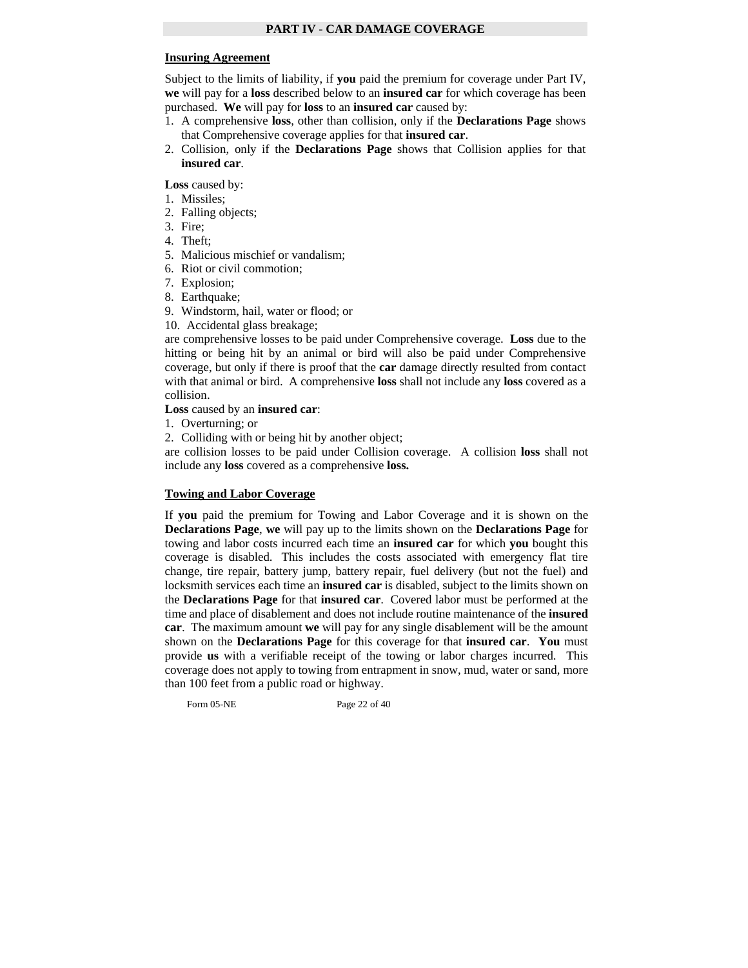# **Insuring Agreement**

Subject to the limits of liability, if **you** paid the premium for coverage under Part IV, **we** will pay for a **loss** described below to an **insured car** for which coverage has been purchased. **We** will pay for **loss** to an **insured car** caused by:

- 1. A comprehensive **loss**, other than collision, only if the **Declarations Page** shows that Comprehensive coverage applies for that **insured car**.
- 2. Collision, only if the **Declarations Page** shows that Collision applies for that **insured car**.

**Loss** caused by:

- 1. Missiles;
- 2. Falling objects;
- 3. Fire;
- 4. Theft;
- 5. Malicious mischief or vandalism;
- 6. Riot or civil commotion;
- 7. Explosion;
- 8. Earthquake;
- 9. Windstorm, hail, water or flood; or
- 10. Accidental glass breakage;

are comprehensive losses to be paid under Comprehensive coverage. **Loss** due to the hitting or being hit by an animal or bird will also be paid under Comprehensive coverage, but only if there is proof that the **car** damage directly resulted from contact with that animal or bird. A comprehensive **loss** shall not include any **loss** covered as a collision.

**Loss** caused by an **insured car**:

- 1. Overturning; or
- 2. Colliding with or being hit by another object;

are collision losses to be paid under Collision coverage. A collision **loss** shall not include any **loss** covered as a comprehensive **loss.** 

## **Towing and Labor Coverage**

If **you** paid the premium for Towing and Labor Coverage and it is shown on the **Declarations Page**, **we** will pay up to the limits shown on the **Declarations Page** for towing and labor costs incurred each time an **insured car** for which **you** bought this coverage is disabled. This includes the costs associated with emergency flat tire change, tire repair, battery jump, battery repair, fuel delivery (but not the fuel) and locksmith services each time an **insured car** is disabled, subject to the limits shown on the **Declarations Page** for that **insured car**. Covered labor must be performed at the time and place of disablement and does not include routine maintenance of the **insured car**. The maximum amount **we** will pay for any single disablement will be the amount shown on the **Declarations Page** for this coverage for that **insured car**. **You** must provide **us** with a verifiable receipt of the towing or labor charges incurred. This coverage does not apply to towing from entrapment in snow, mud, water or sand, more than 100 feet from a public road or highway.

Form 05-NE Page 22 of 40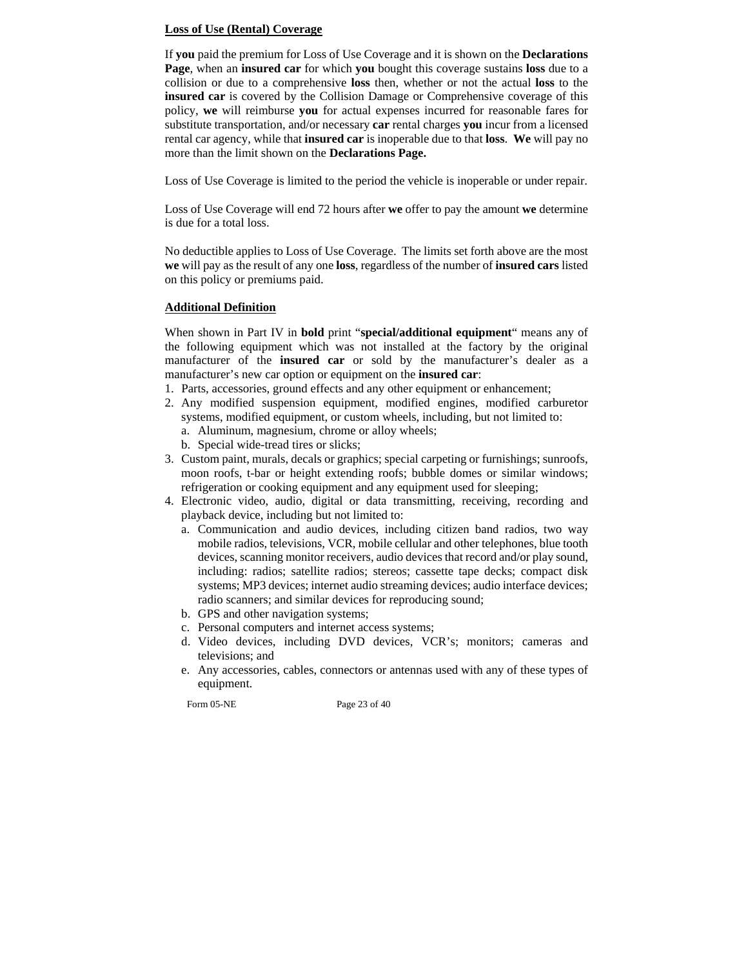# **Loss of Use (Rental) Coverage**

If **you** paid the premium for Loss of Use Coverage and it is shown on the **Declarations Page**, when an **insured car** for which **you** bought this coverage sustains **loss** due to a collision or due to a comprehensive **loss** then, whether or not the actual **loss** to the **insured car** is covered by the Collision Damage or Comprehensive coverage of this policy, **we** will reimburse **you** for actual expenses incurred for reasonable fares for substitute transportation, and/or necessary **car** rental charges **you** incur from a licensed rental car agency, while that **insured car** is inoperable due to that **loss**. **We** will pay no more than the limit shown on the **Declarations Page.** 

Loss of Use Coverage is limited to the period the vehicle is inoperable or under repair.

Loss of Use Coverage will end 72 hours after **we** offer to pay the amount **we** determine is due for a total loss.

No deductible applies to Loss of Use Coverage. The limits set forth above are the most **we** will pay as the result of any one **loss**, regardless of the number of **insured cars** listed on this policy or premiums paid.

# **Additional Definition**

When shown in Part IV in **bold** print "**special/additional equipment**" means any of the following equipment which was not installed at the factory by the original manufacturer of the **insured car** or sold by the manufacturer's dealer as a manufacturer's new car option or equipment on the **insured car**:

- 1. Parts, accessories, ground effects and any other equipment or enhancement;
- 2. Any modified suspension equipment, modified engines, modified carburetor systems, modified equipment, or custom wheels, including, but not limited to: a. Aluminum, magnesium, chrome or alloy wheels;
	- b. Special wide-tread tires or slicks;
- 3. Custom paint, murals, decals or graphics; special carpeting or furnishings; sunroofs, moon roofs, t-bar or height extending roofs; bubble domes or similar windows; refrigeration or cooking equipment and any equipment used for sleeping;
- 4. Electronic video, audio, digital or data transmitting, receiving, recording and playback device, including but not limited to:
	- a. Communication and audio devices, including citizen band radios, two way mobile radios, televisions, VCR, mobile cellular and other telephones, blue tooth devices, scanning monitor receivers, audio devices that record and/or play sound, including: radios; satellite radios; stereos; cassette tape decks; compact disk systems; MP3 devices; internet audio streaming devices; audio interface devices; radio scanners; and similar devices for reproducing sound;
	- b. GPS and other navigation systems;
	- c. Personal computers and internet access systems;
	- d. Video devices, including DVD devices, VCR's; monitors; cameras and televisions; and
	- e. Any accessories, cables, connectors or antennas used with any of these types of equipment.

Form 05-NE Page 23 of 40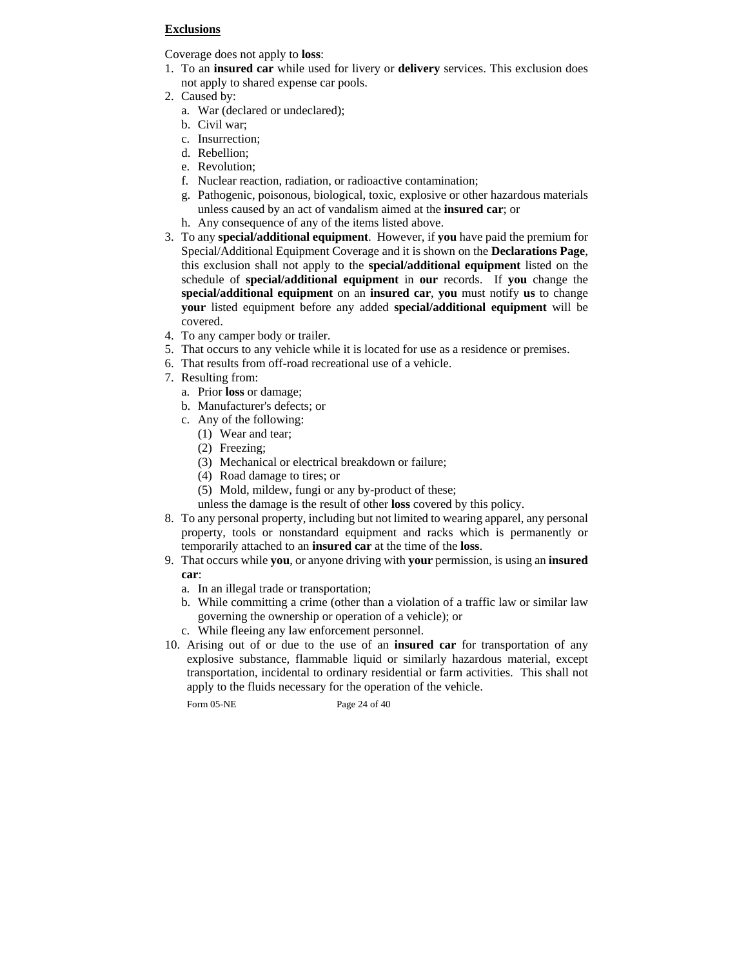# **Exclusions**

Coverage does not apply to **loss**:

- 1. To an **insured car** while used for livery or **delivery** services. This exclusion does not apply to shared expense car pools.
- 2. Caused by:
	- a. War (declared or undeclared);
	- b. Civil war;
	- c. Insurrection;
	- d. Rebellion;
	- e. Revolution;
	- f. Nuclear reaction, radiation, or radioactive contamination;
	- g. Pathogenic, poisonous, biological, toxic, explosive or other hazardous materials unless caused by an act of vandalism aimed at the **insured car**; or
	- h. Any consequence of any of the items listed above.
- 3. To any **special/additional equipment**. However, if **you** have paid the premium for Special/Additional Equipment Coverage and it is shown on the **Declarations Page**, this exclusion shall not apply to the **special/additional equipment** listed on the schedule of **special/additional equipment** in **our** records. If **you** change the **special/additional equipment** on an **insured car**, **you** must notify **us** to change **your** listed equipment before any added **special/additional equipment** will be covered.
- 4. To any camper body or trailer.
- 5. That occurs to any vehicle while it is located for use as a residence or premises.
- 6. That results from off-road recreational use of a vehicle.
- 7. Resulting from:
	- a. Prior **loss** or damage;
	- b. Manufacturer's defects; or
	- c. Any of the following:
		- (1) Wear and tear;
		- (2) Freezing;
		- (3) Mechanical or electrical breakdown or failure;
		- (4) Road damage to tires; or
		- (5) Mold, mildew, fungi or any by-product of these;
		- unless the damage is the result of other **loss** covered by this policy.
- 8. To any personal property, including but not limited to wearing apparel, any personal property, tools or nonstandard equipment and racks which is permanently or temporarily attached to an **insured car** at the time of the **loss**.
- 9. That occurs while **you**, or anyone driving with **your** permission, is using an **insured car**:
	- a. In an illegal trade or transportation;
	- b. While committing a crime (other than a violation of a traffic law or similar law governing the ownership or operation of a vehicle); or
	- c. While fleeing any law enforcement personnel.
- 10. Arising out of or due to the use of an **insured car** for transportation of any explosive substance, flammable liquid or similarly hazardous material, except transportation, incidental to ordinary residential or farm activities. This shall not apply to the fluids necessary for the operation of the vehicle.

Form 05-NE Page 24 of 40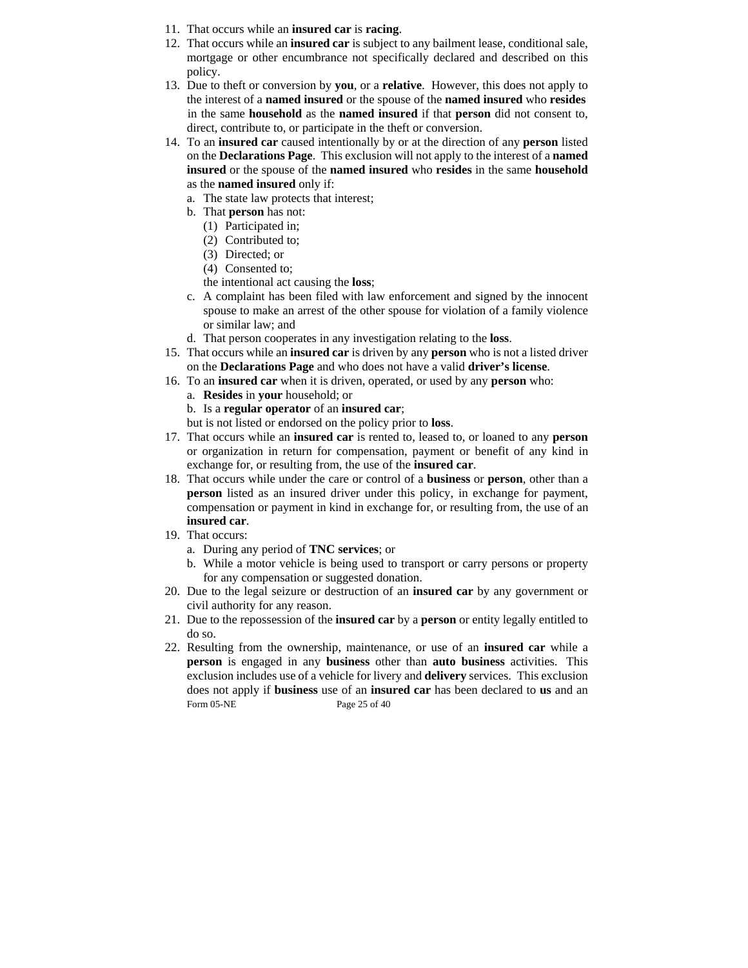- 11. That occurs while an **insured car** is **racing**.
- 12. That occurs while an **insured car** is subject to any bailment lease, conditional sale, mortgage or other encumbrance not specifically declared and described on this policy.
- 13. Due to theft or conversion by **you**, or a **relative**. However, this does not apply to the interest of a **named insured** or the spouse of the **named insured** who **resides** in the same **household** as the **named insured** if that **person** did not consent to, direct, contribute to, or participate in the theft or conversion.
- 14. To an **insured car** caused intentionally by or at the direction of any **person** listed on the **Declarations Page**. This exclusion will not apply to the interest of a **named insured** or the spouse of the **named insured** who **resides** in the same **household** as the **named insured** only if:
	- a. The state law protects that interest;
	- b. That **person** has not:
		- (1) Participated in;
		- (2) Contributed to;
		- (3) Directed; or
		- (4) Consented to;
		- the intentional act causing the **loss**;
	- c. A complaint has been filed with law enforcement and signed by the innocent spouse to make an arrest of the other spouse for violation of a family violence or similar law; and
	- d. That person cooperates in any investigation relating to the **loss**.
- 15. That occurs while an **insured car** is driven by any **person** who is not a listed driver on the **Declarations Page** and who does not have a valid **driver's license**.
- 16. To an **insured car** when it is driven, operated, or used by any **person** who:
	- a. **Resides** in **your** household; or
	- b. Is a **regular operator** of an **insured car**;
	- but is not listed or endorsed on the policy prior to **loss**.
- 17. That occurs while an **insured car** is rented to, leased to, or loaned to any **person** or organization in return for compensation, payment or benefit of any kind in exchange for, or resulting from, the use of the **insured car**.
- 18. That occurs while under the care or control of a **business** or **person**, other than a **person** listed as an insured driver under this policy, in exchange for payment, compensation or payment in kind in exchange for, or resulting from, the use of an **insured car**.
- 19. That occurs:
	- a. During any period of **TNC services**; or
	- b. While a motor vehicle is being used to transport or carry persons or property for any compensation or suggested donation.
- 20. Due to the legal seizure or destruction of an **insured car** by any government or civil authority for any reason.
- 21. Due to the repossession of the **insured car** by a **person** or entity legally entitled to do so.
- Form 05-NE Page 25 of 40 22. Resulting from the ownership, maintenance, or use of an **insured car** while a **person** is engaged in any **business** other than **auto business** activities. This exclusion includes use of a vehicle for livery and **delivery** services. This exclusion does not apply if **business** use of an **insured car** has been declared to **us** and an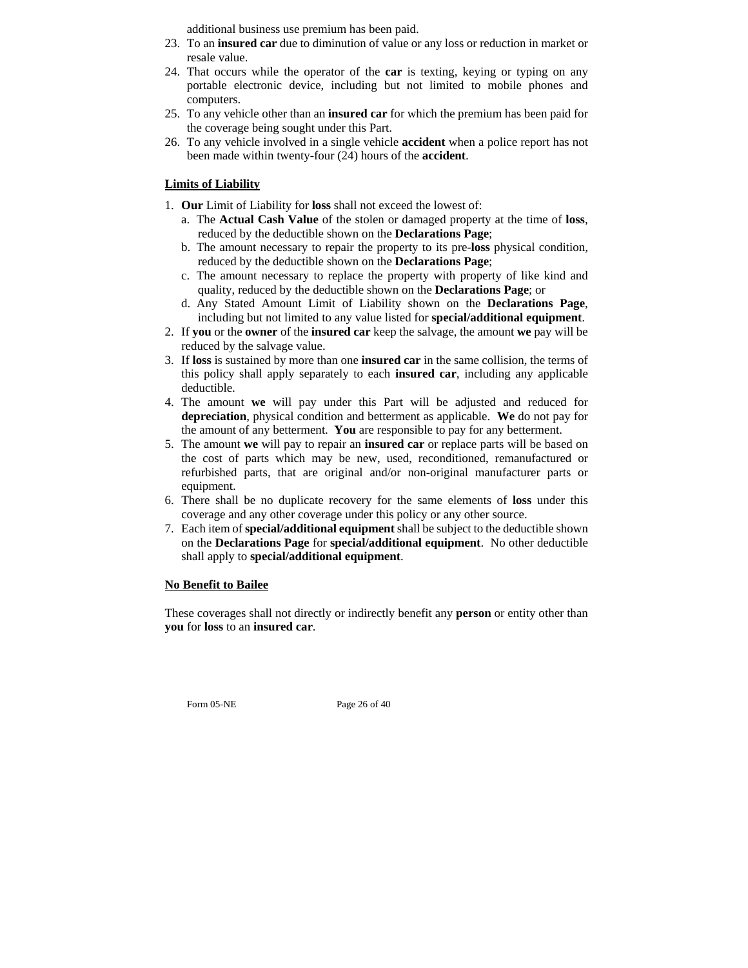additional business use premium has been paid.

- 23. To an **insured car** due to diminution of value or any loss or reduction in market or resale value.
- 24. That occurs while the operator of the **car** is texting, keying or typing on any portable electronic device, including but not limited to mobile phones and computers.
- 25. To any vehicle other than an **insured car** for which the premium has been paid for the coverage being sought under this Part.
- 26. To any vehicle involved in a single vehicle **accident** when a police report has not been made within twenty-four (24) hours of the **accident**.

# **Limits of Liability**

- 1. **Our** Limit of Liability for **loss** shall not exceed the lowest of:
	- a. The **Actual Cash Value** of the stolen or damaged property at the time of **loss**, reduced by the deductible shown on the **Declarations Page**;
	- b. The amount necessary to repair the property to its pre-**loss** physical condition, reduced by the deductible shown on the **Declarations Page**;
	- c. The amount necessary to replace the property with property of like kind and quality, reduced by the deductible shown on the **Declarations Page**; or
	- d. Any Stated Amount Limit of Liability shown on the **Declarations Page**, including but not limited to any value listed for **special/additional equipment**.
- 2. If **you** or the **owner** of the **insured car** keep the salvage, the amount **we** pay will be reduced by the salvage value.
- 3. If **loss** is sustained by more than one **insured car** in the same collision, the terms of this policy shall apply separately to each **insured car**, including any applicable deductible.
- 4. The amount **we** will pay under this Part will be adjusted and reduced for **depreciation**, physical condition and betterment as applicable. **We** do not pay for the amount of any betterment. **You** are responsible to pay for any betterment.
- 5. The amount **we** will pay to repair an **insured car** or replace parts will be based on the cost of parts which may be new, used, reconditioned, remanufactured or refurbished parts, that are original and/or non-original manufacturer parts or equipment.
- 6. There shall be no duplicate recovery for the same elements of **loss** under this coverage and any other coverage under this policy or any other source.
- 7. Each item of **special/additional equipment** shall be subject to the deductible shown on the **Declarations Page** for **special/additional equipment**. No other deductible shall apply to **special/additional equipment**.

## **No Benefit to Bailee**

These coverages shall not directly or indirectly benefit any **person** or entity other than **you** for **loss** to an **insured car**.

Form 05-NE Page 26 of 40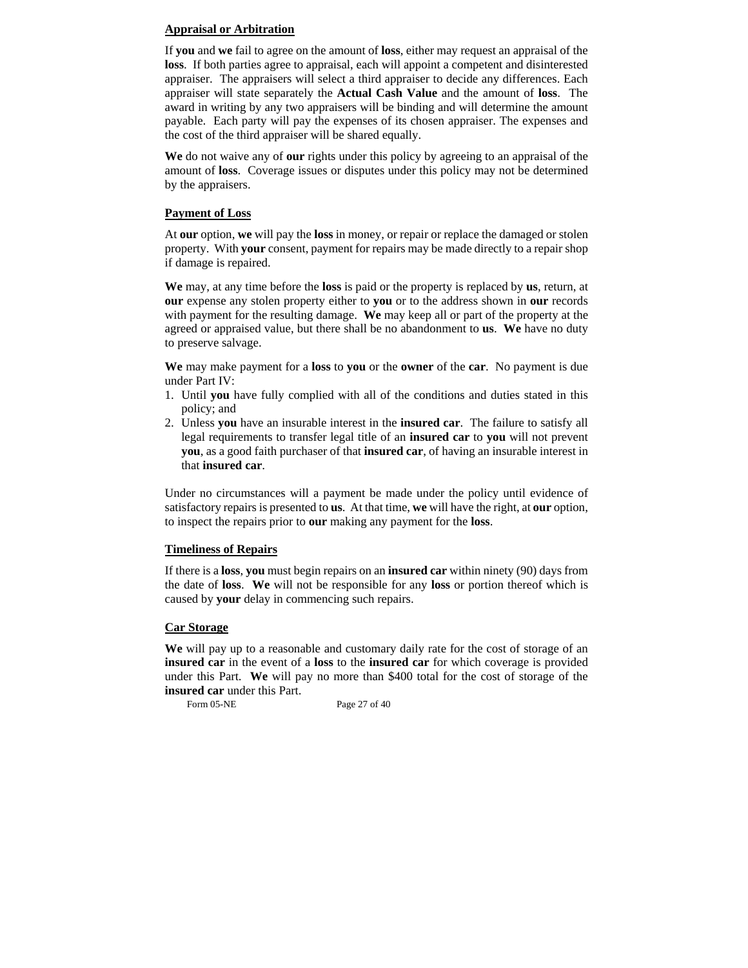# **Appraisal or Arbitration**

If **you** and **we** fail to agree on the amount of **loss**, either may request an appraisal of the **loss**. If both parties agree to appraisal, each will appoint a competent and disinterested appraiser. The appraisers will select a third appraiser to decide any differences. Each appraiser will state separately the **Actual Cash Value** and the amount of **loss**. The award in writing by any two appraisers will be binding and will determine the amount payable. Each party will pay the expenses of its chosen appraiser. The expenses and the cost of the third appraiser will be shared equally.

**We** do not waive any of **our** rights under this policy by agreeing to an appraisal of the amount of **loss**. Coverage issues or disputes under this policy may not be determined by the appraisers.

# **Payment of Loss**

At **our** option, **we** will pay the **loss** in money, or repair or replace the damaged or stolen property. With **your** consent, payment for repairs may be made directly to a repair shop if damage is repaired.

**We** may, at any time before the **loss** is paid or the property is replaced by **us**, return, at **our** expense any stolen property either to **you** or to the address shown in **our** records with payment for the resulting damage. **We** may keep all or part of the property at the agreed or appraised value, but there shall be no abandonment to **us**. **We** have no duty to preserve salvage.

**We** may make payment for a **loss** to **you** or the **owner** of the **car**. No payment is due under Part IV:

- 1. Until **you** have fully complied with all of the conditions and duties stated in this policy; and
- 2. Unless **you** have an insurable interest in the **insured car**. The failure to satisfy all legal requirements to transfer legal title of an **insured car** to **you** will not prevent **you**, as a good faith purchaser of that **insured car**, of having an insurable interest in that **insured car**.

Under no circumstances will a payment be made under the policy until evidence of satisfactory repairs is presented to **us**. At that time, **we** will have the right, at **our** option, to inspect the repairs prior to **our** making any payment for the **loss**.

# **Timeliness of Repairs**

If there is a **loss**, **you** must begin repairs on an **insured car** within ninety (90) days from the date of **loss**. **We** will not be responsible for any **loss** or portion thereof which is caused by **your** delay in commencing such repairs.

# **Car Storage**

**We** will pay up to a reasonable and customary daily rate for the cost of storage of an **insured car** in the event of a **loss** to the **insured car** for which coverage is provided under this Part. **We** will pay no more than \$400 total for the cost of storage of the **insured car** under this Part.

Form 05-NE Page 27 of 40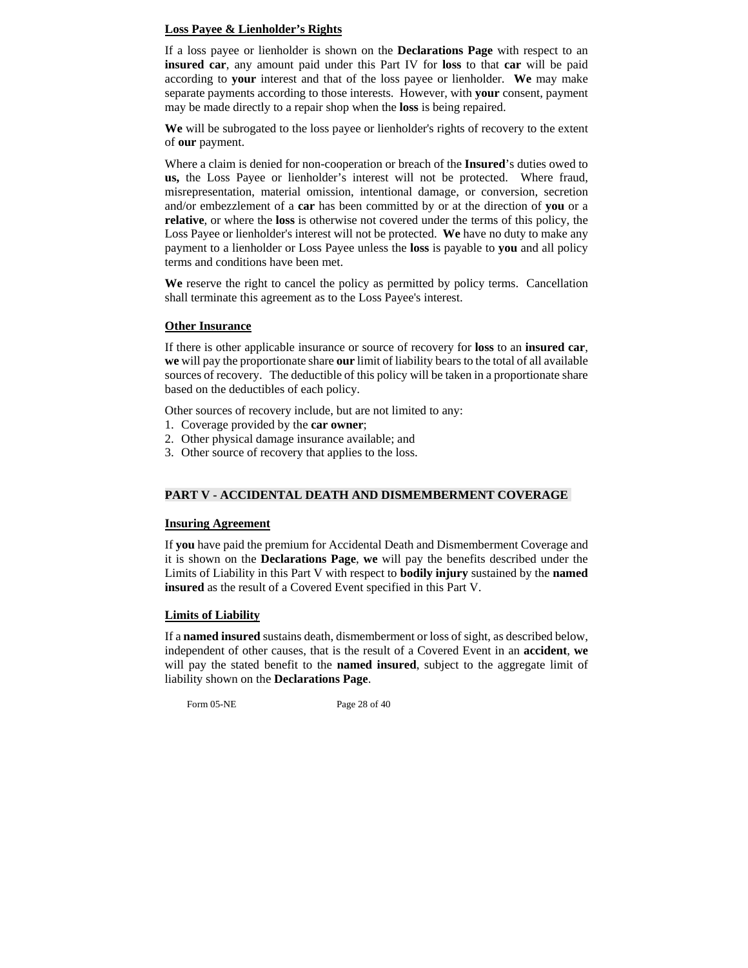# **Loss Payee & Lienholder's Rights**

If a loss payee or lienholder is shown on the **Declarations Page** with respect to an **insured car**, any amount paid under this Part IV for **loss** to that **car** will be paid according to **your** interest and that of the loss payee or lienholder. **We** may make separate payments according to those interests. However, with **your** consent, payment may be made directly to a repair shop when the **loss** is being repaired.

**We** will be subrogated to the loss payee or lienholder's rights of recovery to the extent of **our** payment.

Where a claim is denied for non-cooperation or breach of the **Insured**'s duties owed to **us,** the Loss Payee or lienholder's interest will not be protected. Where fraud, misrepresentation, material omission, intentional damage, or conversion, secretion and/or embezzlement of a **car** has been committed by or at the direction of **you** or a **relative**, or where the **loss** is otherwise not covered under the terms of this policy, the Loss Payee or lienholder's interest will not be protected. **We** have no duty to make any payment to a lienholder or Loss Payee unless the **loss** is payable to **you** and all policy terms and conditions have been met.

**We** reserve the right to cancel the policy as permitted by policy terms. Cancellation shall terminate this agreement as to the Loss Payee's interest.

## **Other Insurance**

If there is other applicable insurance or source of recovery for **loss** to an **insured car**, **we** will pay the proportionate share **our** limit of liability bears to the total of all available sources of recovery. The deductible of this policy will be taken in a proportionate share based on the deductibles of each policy.

Other sources of recovery include, but are not limited to any:

- 1. Coverage provided by the **car owner**;
- 2. Other physical damage insurance available; and
- 3. Other source of recovery that applies to the loss.

# **PART V - ACCIDENTAL DEATH AND DISMEMBERMENT COVERAGE**

# **Insuring Agreement**

If **you** have paid the premium for Accidental Death and Dismemberment Coverage and it is shown on the **Declarations Page**, **we** will pay the benefits described under the Limits of Liability in this Part V with respect to **bodily injury** sustained by the **named insured** as the result of a Covered Event specified in this Part V.

## **Limits of Liability**

If a **named insured** sustains death, dismemberment or loss of sight, as described below, independent of other causes, that is the result of a Covered Event in an **accident**, **we**  will pay the stated benefit to the **named insured**, subject to the aggregate limit of liability shown on the **Declarations Page**.

Form 05-NE Page 28 of 40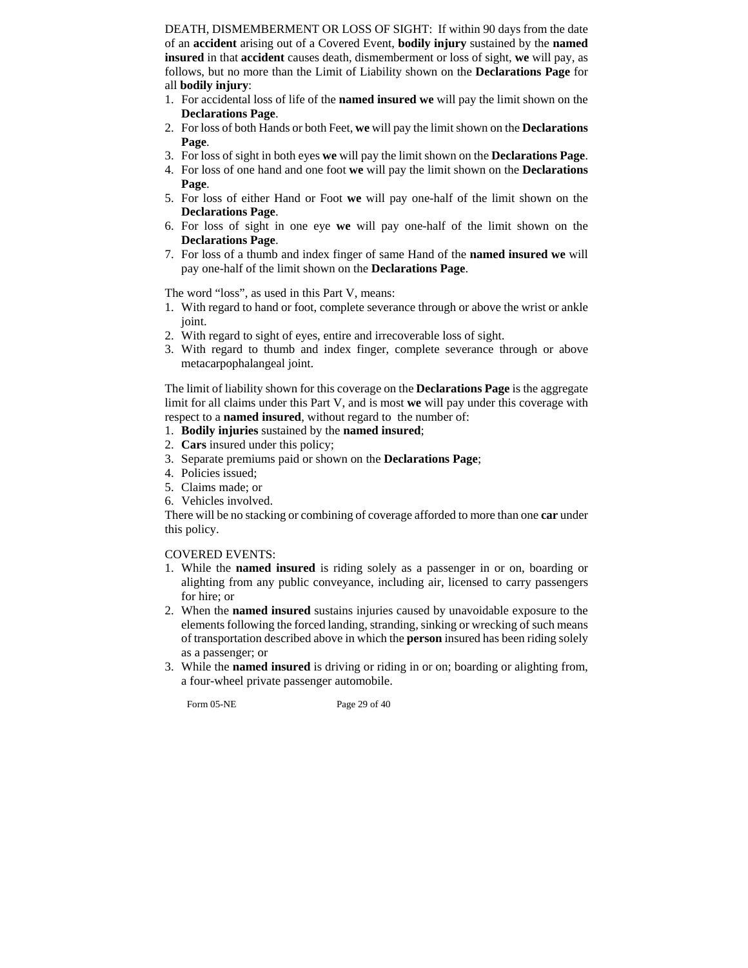DEATH, DISMEMBERMENT OR LOSS OF SIGHT: If within 90 days from the date of an **accident** arising out of a Covered Event, **bodily injury** sustained by the **named insured** in that **accident** causes death, dismemberment or loss of sight, **we** will pay, as follows, but no more than the Limit of Liability shown on the **Declarations Page** for all **bodily injury**:

- 1. For accidental loss of life of the **named insured we** will pay the limit shown on the **Declarations Page**.
- 2. For loss of both Hands or both Feet, **we** will pay the limit shown on the **Declarations Page**.
- 3. For loss of sight in both eyes **we** will pay the limit shown on the **Declarations Page**.
- 4. For loss of one hand and one foot **we** will pay the limit shown on the **Declarations Page**.
- 5. For loss of either Hand or Foot **we** will pay one-half of the limit shown on the **Declarations Page**.
- 6. For loss of sight in one eye **we** will pay one-half of the limit shown on the **Declarations Page**.
- 7. For loss of a thumb and index finger of same Hand of the **named insured we** will pay one-half of the limit shown on the **Declarations Page**.

The word "loss", as used in this Part V, means:

- 1. With regard to hand or foot, complete severance through or above the wrist or ankle joint.
- 2. With regard to sight of eyes, entire and irrecoverable loss of sight.
- 3. With regard to thumb and index finger, complete severance through or above metacarpophalangeal joint.

The limit of liability shown for this coverage on the **Declarations Page** is the aggregate limit for all claims under this Part V, and is most **we** will pay under this coverage with respect to a **named insured**, without regard to the number of:

- 1. **Bodily injuries** sustained by the **named insured**;
- 2. **Cars** insured under this policy;
- 3. Separate premiums paid or shown on the **Declarations Page**;
- 4. Policies issued;
- 5. Claims made; or
- 6. Vehicles involved.

There will be no stacking or combining of coverage afforded to more than one **car** under this policy.

#### COVERED EVENTS:

- 1. While the **named insured** is riding solely as a passenger in or on, boarding or alighting from any public conveyance, including air, licensed to carry passengers for hire; or
- 2. When the **named insured** sustains injuries caused by unavoidable exposure to the elements following the forced landing, stranding, sinking or wrecking of such means of transportation described above in which the **person** insured has been riding solely as a passenger; or
- 3. While the **named insured** is driving or riding in or on; boarding or alighting from, a four-wheel private passenger automobile.

Form 05-NE Page 29 of 40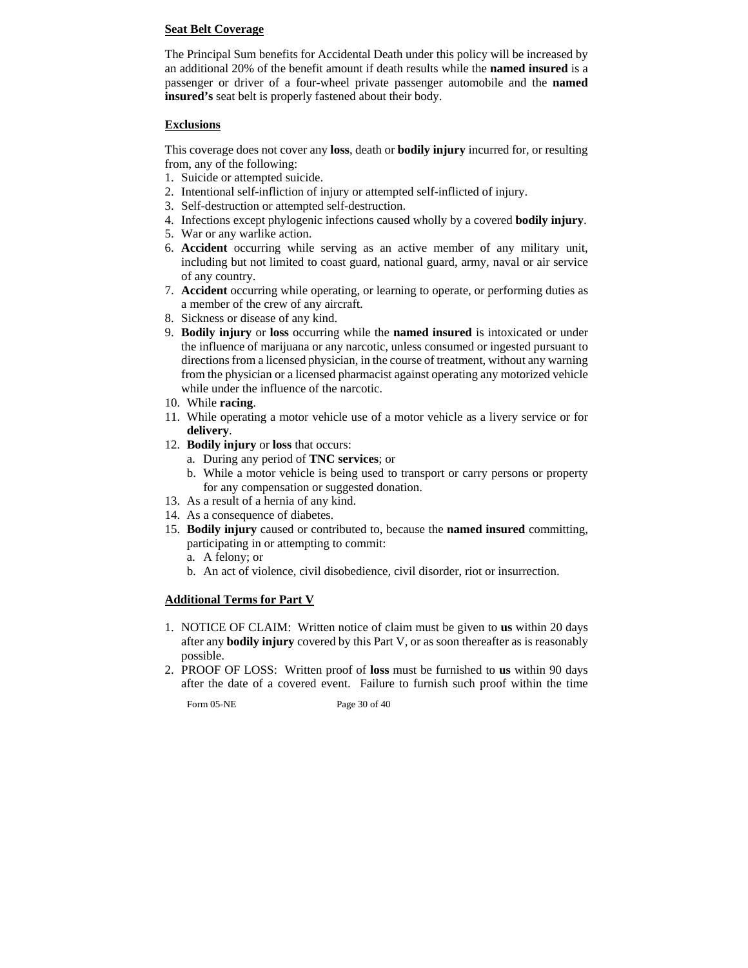# **Seat Belt Coverage**

The Principal Sum benefits for Accidental Death under this policy will be increased by an additional 20% of the benefit amount if death results while the **named insured** is a passenger or driver of a four-wheel private passenger automobile and the **named insured's** seat belt is properly fastened about their body.

# **Exclusions**

This coverage does not cover any **loss**, death or **bodily injury** incurred for, or resulting from, any of the following:

- 1. Suicide or attempted suicide.
- 2. Intentional self-infliction of injury or attempted self-inflicted of injury.
- 3. Self-destruction or attempted self-destruction.
- 4. Infections except phylogenic infections caused wholly by a covered **bodily injury**.
- 5. War or any warlike action.
- 6. **Accident** occurring while serving as an active member of any military unit, including but not limited to coast guard, national guard, army, naval or air service of any country.
- 7. **Accident** occurring while operating, or learning to operate, or performing duties as a member of the crew of any aircraft.
- 8. Sickness or disease of any kind.
- 9. **Bodily injury** or **loss** occurring while the **named insured** is intoxicated or under the influence of marijuana or any narcotic, unless consumed or ingested pursuant to directions from a licensed physician, in the course of treatment, without any warning from the physician or a licensed pharmacist against operating any motorized vehicle while under the influence of the narcotic.
- 10. While **racing**.
- 11. While operating a motor vehicle use of a motor vehicle as a livery service or for **delivery**.
- 12. **Bodily injury** or **loss** that occurs:
	- a. During any period of **TNC services**; or
	- b. While a motor vehicle is being used to transport or carry persons or property for any compensation or suggested donation.
- 13. As a result of a hernia of any kind.
- 14. As a consequence of diabetes.
- 15. **Bodily injury** caused or contributed to, because the **named insured** committing, participating in or attempting to commit:
	- a. A felony; or
	- b. An act of violence, civil disobedience, civil disorder, riot or insurrection.

# **Additional Terms for Part V**

- 1. NOTICE OF CLAIM: Written notice of claim must be given to **us** within 20 days after any **bodily injury** covered by this Part V, or as soon thereafter as is reasonably possible.
- 2. PROOF OF LOSS: Written proof of **loss** must be furnished to **us** within 90 days after the date of a covered event. Failure to furnish such proof within the time

Form 05-NE Page 30 of 40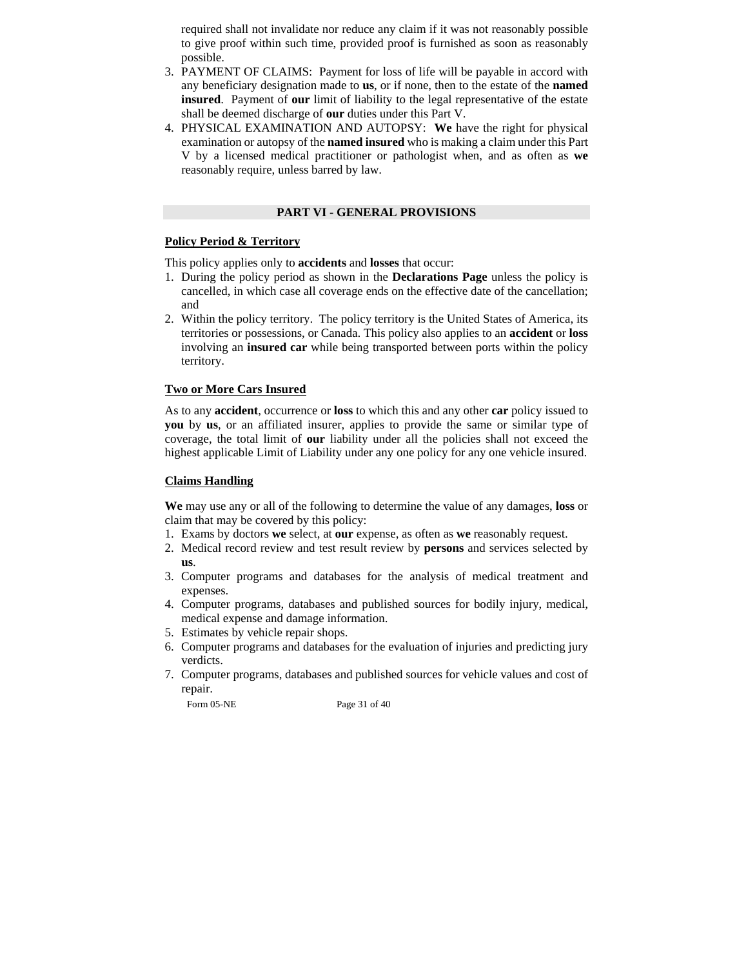required shall not invalidate nor reduce any claim if it was not reasonably possible to give proof within such time, provided proof is furnished as soon as reasonably possible.

- 3. PAYMENT OF CLAIMS: Payment for loss of life will be payable in accord with any beneficiary designation made to **us**, or if none, then to the estate of the **named insured**. Payment of **our** limit of liability to the legal representative of the estate shall be deemed discharge of **our** duties under this Part V.
- 4. PHYSICAL EXAMINATION AND AUTOPSY: **We** have the right for physical examination or autopsy of the **named insured** who is making a claim under this Part V by a licensed medical practitioner or pathologist when, and as often as **we**  reasonably require, unless barred by law.

## **PART VI - GENERAL PROVISIONS**

# **Policy Period & Territory**

This policy applies only to **accidents** and **losses** that occur:

- 1. During the policy period as shown in the **Declarations Page** unless the policy is cancelled, in which case all coverage ends on the effective date of the cancellation; and
- 2. Within the policy territory. The policy territory is the United States of America, its territories or possessions, or Canada. This policy also applies to an **accident** or **loss** involving an **insured car** while being transported between ports within the policy territory.

# **Two or More Cars Insured**

As to any **accident**, occurrence or **loss** to which this and any other **car** policy issued to **you** by **us**, or an affiliated insurer, applies to provide the same or similar type of coverage, the total limit of **our** liability under all the policies shall not exceed the highest applicable Limit of Liability under any one policy for any one vehicle insured.

# **Claims Handling**

**We** may use any or all of the following to determine the value of any damages, **loss** or claim that may be covered by this policy:

- 1. Exams by doctors **we** select, at **our** expense, as often as **we** reasonably request.
- 2. Medical record review and test result review by **persons** and services selected by **us**.
- 3. Computer programs and databases for the analysis of medical treatment and expenses.
- 4. Computer programs, databases and published sources for bodily injury, medical, medical expense and damage information.
- 5. Estimates by vehicle repair shops.
- 6. Computer programs and databases for the evaluation of injuries and predicting jury verdicts.
- 7. Computer programs, databases and published sources for vehicle values and cost of repair.

Form 05-NE Page 31 of 40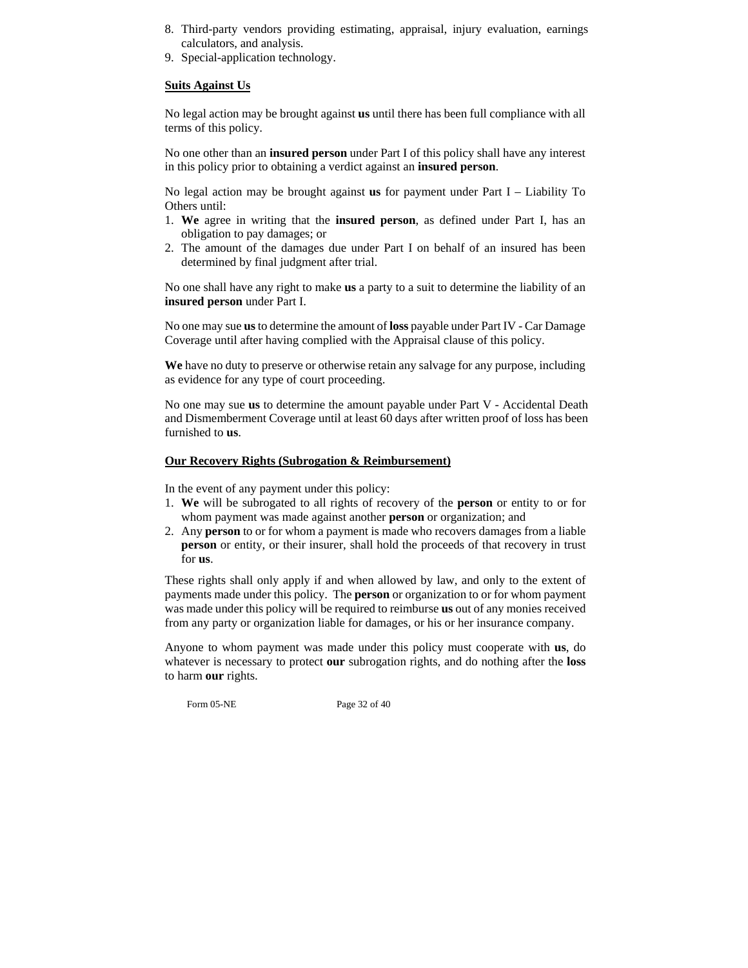- 8. Third-party vendors providing estimating, appraisal, injury evaluation, earnings calculators, and analysis.
- 9. Special-application technology.

#### **Suits Against Us**

No legal action may be brought against **us** until there has been full compliance with all terms of this policy.

No one other than an **insured person** under Part I of this policy shall have any interest in this policy prior to obtaining a verdict against an **insured person**.

No legal action may be brought against **us** for payment under Part I – Liability To Others until:

- 1. **We** agree in writing that the **insured person**, as defined under Part I, has an obligation to pay damages; or
- 2. The amount of the damages due under Part I on behalf of an insured has been determined by final judgment after trial.

No one shall have any right to make **us** a party to a suit to determine the liability of an **insured person** under Part I.

No one may sue **us** to determine the amount of **loss** payable under Part IV - Car Damage Coverage until after having complied with the Appraisal clause of this policy.

**We** have no duty to preserve or otherwise retain any salvage for any purpose, including as evidence for any type of court proceeding.

No one may sue **us** to determine the amount payable under Part V - Accidental Death and Dismemberment Coverage until at least 60 days after written proof of loss has been furnished to **us**.

#### **Our Recovery Rights (Subrogation & Reimbursement)**

In the event of any payment under this policy:

- 1. **We** will be subrogated to all rights of recovery of the **person** or entity to or for whom payment was made against another **person** or organization; and
- 2. Any **person** to or for whom a payment is made who recovers damages from a liable **person** or entity, or their insurer, shall hold the proceeds of that recovery in trust for **us**.

These rights shall only apply if and when allowed by law, and only to the extent of payments made under this policy. The **person** or organization to or for whom payment was made under this policy will be required to reimburse **us** out of any monies received from any party or organization liable for damages, or his or her insurance company.

Anyone to whom payment was made under this policy must cooperate with **us**, do whatever is necessary to protect **our** subrogation rights, and do nothing after the **loss** to harm **our** rights.

Form 05-NE Page 32 of 40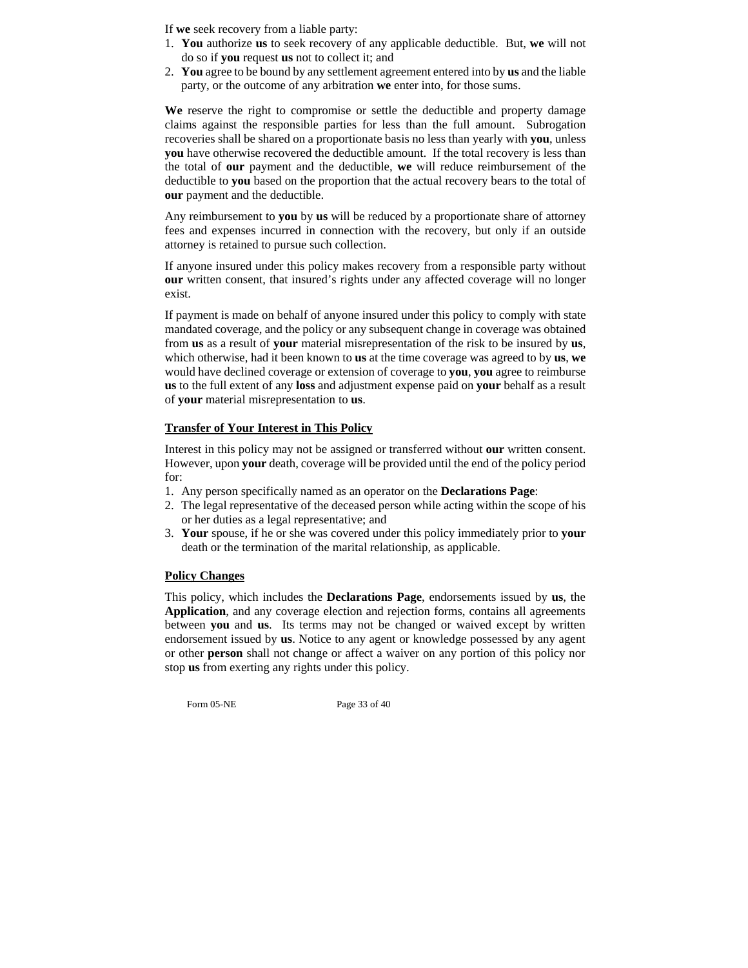If **we** seek recovery from a liable party:

- 1. **You** authorize **us** to seek recovery of any applicable deductible. But, **we** will not do so if **you** request **us** not to collect it; and
- 2. **You** agree to be bound by any settlement agreement entered into by **us** and the liable party, or the outcome of any arbitration **we** enter into, for those sums.

**We** reserve the right to compromise or settle the deductible and property damage claims against the responsible parties for less than the full amount. Subrogation recoveries shall be shared on a proportionate basis no less than yearly with **you**, unless **you** have otherwise recovered the deductible amount. If the total recovery is less than the total of **our** payment and the deductible, **we** will reduce reimbursement of the deductible to **you** based on the proportion that the actual recovery bears to the total of **our** payment and the deductible.

Any reimbursement to **you** by **us** will be reduced by a proportionate share of attorney fees and expenses incurred in connection with the recovery, but only if an outside attorney is retained to pursue such collection.

If anyone insured under this policy makes recovery from a responsible party without **our** written consent, that insured's rights under any affected coverage will no longer exist.

If payment is made on behalf of anyone insured under this policy to comply with state mandated coverage, and the policy or any subsequent change in coverage was obtained from **us** as a result of **your** material misrepresentation of the risk to be insured by **us**, which otherwise, had it been known to **us** at the time coverage was agreed to by **us**, **we**  would have declined coverage or extension of coverage to **you**, **you** agree to reimburse **us** to the full extent of any **loss** and adjustment expense paid on **your** behalf as a result of **your** material misrepresentation to **us**.

# **Transfer of Your Interest in This Policy**

Interest in this policy may not be assigned or transferred without **our** written consent. However, upon **your** death, coverage will be provided until the end of the policy period for:

- 1. Any person specifically named as an operator on the **Declarations Page**:
- 2. The legal representative of the deceased person while acting within the scope of his or her duties as a legal representative; and
- 3. **Your** spouse, if he or she was covered under this policy immediately prior to **your** death or the termination of the marital relationship, as applicable.

# **Policy Changes**

This policy, which includes the **Declarations Page**, endorsements issued by **us**, the **Application**, and any coverage election and rejection forms, contains all agreements between **you** and **us**. Its terms may not be changed or waived except by written endorsement issued by **us**. Notice to any agent or knowledge possessed by any agent or other **person** shall not change or affect a waiver on any portion of this policy nor stop **us** from exerting any rights under this policy.

Form 05-NE Page 33 of 40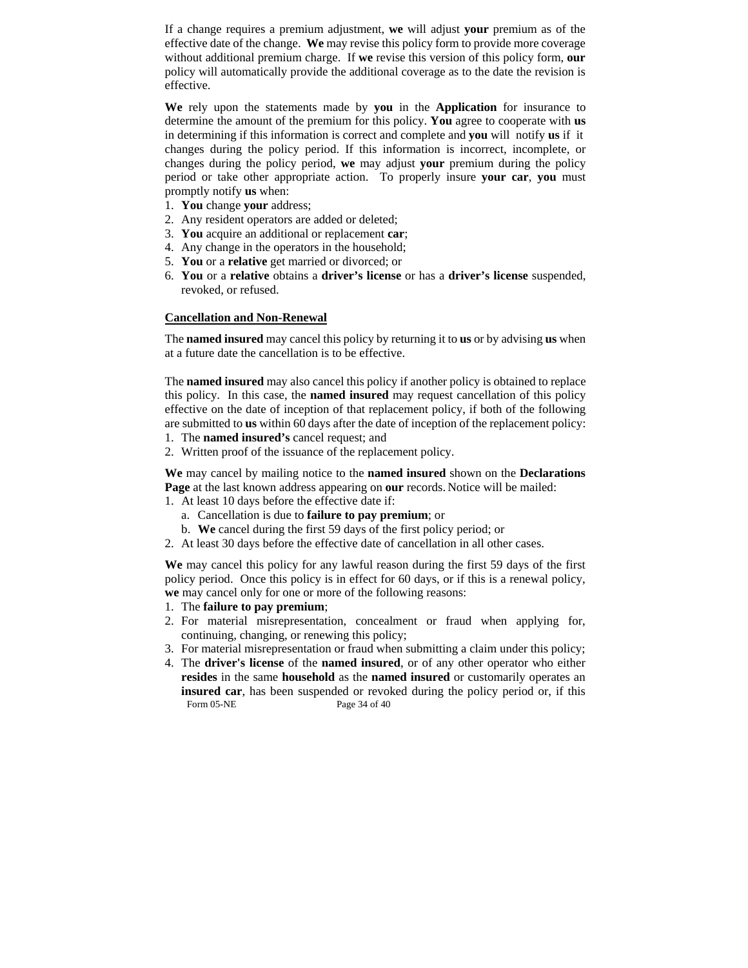If a change requires a premium adjustment, **we** will adjust **your** premium as of the effective date of the change. **We** may revise this policy form to provide more coverage without additional premium charge. If **we** revise this version of this policy form, **our** policy will automatically provide the additional coverage as to the date the revision is effective.

**We** rely upon the statements made by **you** in the **Application** for insurance to determine the amount of the premium for this policy. **You** agree to cooperate with **us** in determining if this information is correct and complete and **you** will notify **us** if it changes during the policy period. If this information is incorrect, incomplete, or changes during the policy period, **we** may adjust **your** premium during the policy period or take other appropriate action. To properly insure **your car**, **you** must promptly notify **us** when:

- 1. **You** change **your** address;
- 2. Any resident operators are added or deleted;
- 3. **You** acquire an additional or replacement **car**;
- 4. Any change in the operators in the household;
- 5. **You** or a **relative** get married or divorced; or
- 6. **You** or a **relative** obtains a **driver's license** or has a **driver's license** suspended, revoked, or refused.

#### **Cancellation and Non-Renewal**

The **named insured** may cancel this policy by returning it to **us** or by advising **us** when at a future date the cancellation is to be effective.

The **named insured** may also cancel this policy if another policy is obtained to replace this policy. In this case, the **named insured** may request cancellation of this policy effective on the date of inception of that replacement policy, if both of the following are submitted to **us** within 60 days after the date of inception of the replacement policy:

- 1. The **named insured's** cancel request; and
- 2. Written proof of the issuance of the replacement policy.

**We** may cancel by mailing notice to the **named insured** shown on the **Declarations Page** at the last known address appearing on **our** records. Notice will be mailed:

- 1. At least 10 days before the effective date if:
	- a. Cancellation is due to **failure to pay premium**; or
	- b. **We** cancel during the first 59 days of the first policy period; or
- 2. At least 30 days before the effective date of cancellation in all other cases.

**We** may cancel this policy for any lawful reason during the first 59 days of the first policy period. Once this policy is in effect for 60 days, or if this is a renewal policy, **we** may cancel only for one or more of the following reasons:

- 1. The **failure to pay premium**;
- 2. For material misrepresentation, concealment or fraud when applying for, continuing, changing, or renewing this policy;
- 3. For material misrepresentation or fraud when submitting a claim under this policy;
- Form 05-NE Page 34 of 40 4. The **driver's license** of the **named insured**, or of any other operator who either **resides** in the same **household** as the **named insured** or customarily operates an **insured car**, has been suspended or revoked during the policy period or, if this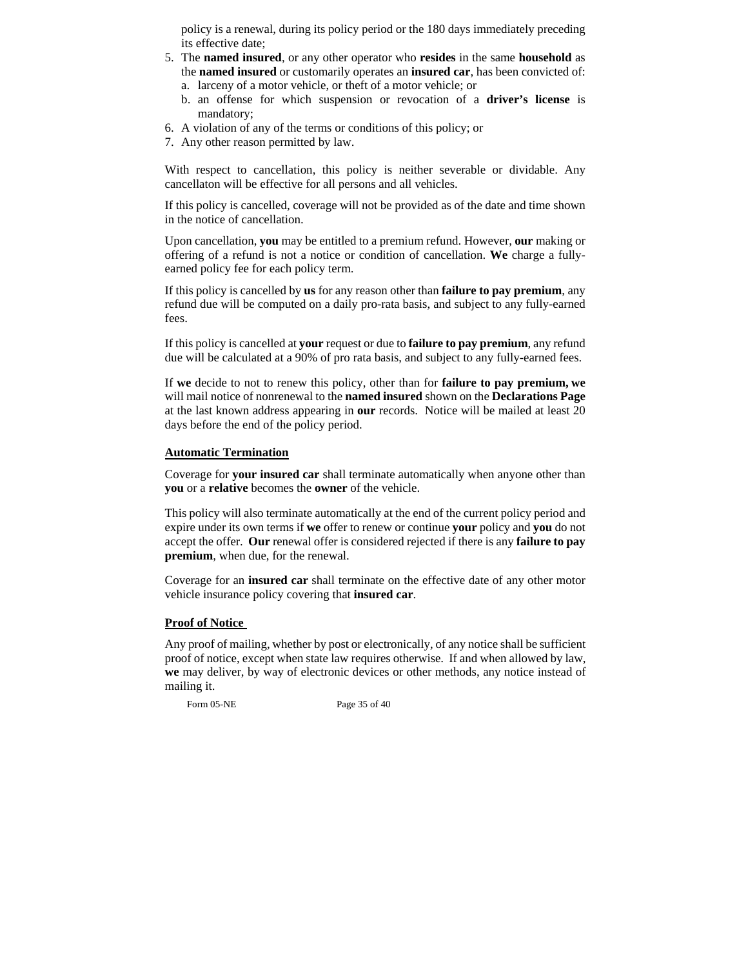policy is a renewal, during its policy period or the 180 days immediately preceding its effective date;

- 5. The **named insured**, or any other operator who **resides** in the same **household** as the **named insured** or customarily operates an **insured car**, has been convicted of:
	- a. larceny of a motor vehicle, or theft of a motor vehicle; or
	- b. an offense for which suspension or revocation of a **driver's license** is mandatory;
- 6. A violation of any of the terms or conditions of this policy; or
- 7. Any other reason permitted by law.

With respect to cancellation, this policy is neither severable or dividable. Any cancellaton will be effective for all persons and all vehicles.

If this policy is cancelled, coverage will not be provided as of the date and time shown in the notice of cancellation.

Upon cancellation, **you** may be entitled to a premium refund. However, **our** making or offering of a refund is not a notice or condition of cancellation. **We** charge a fullyearned policy fee for each policy term.

If this policy is cancelled by **us** for any reason other than **failure to pay premium**, any refund due will be computed on a daily pro-rata basis, and subject to any fully-earned fees.

If this policy is cancelled at **your** request or due to **failure to pay premium**, any refund due will be calculated at a 90% of pro rata basis, and subject to any fully-earned fees.

If **we** decide to not to renew this policy, other than for **failure to pay premium, we**  will mail notice of nonrenewal to the **named insured** shown on the **Declarations Page** at the last known address appearing in **our** records. Notice will be mailed at least 20 days before the end of the policy period.

## **Automatic Termination**

Coverage for **your insured car** shall terminate automatically when anyone other than **you** or a **relative** becomes the **owner** of the vehicle.

This policy will also terminate automatically at the end of the current policy period and expire under its own terms if **we** offer to renew or continue **your** policy and **you** do not accept the offer. **Our** renewal offer is considered rejected if there is any **failure to pay premium**, when due, for the renewal.

Coverage for an **insured car** shall terminate on the effective date of any other motor vehicle insurance policy covering that **insured car**.

## **Proof of Notice**

Any proof of mailing, whether by post or electronically, of any notice shall be sufficient proof of notice, except when state law requires otherwise. If and when allowed by law, **we** may deliver, by way of electronic devices or other methods, any notice instead of mailing it.

Form 05-NE Page 35 of 40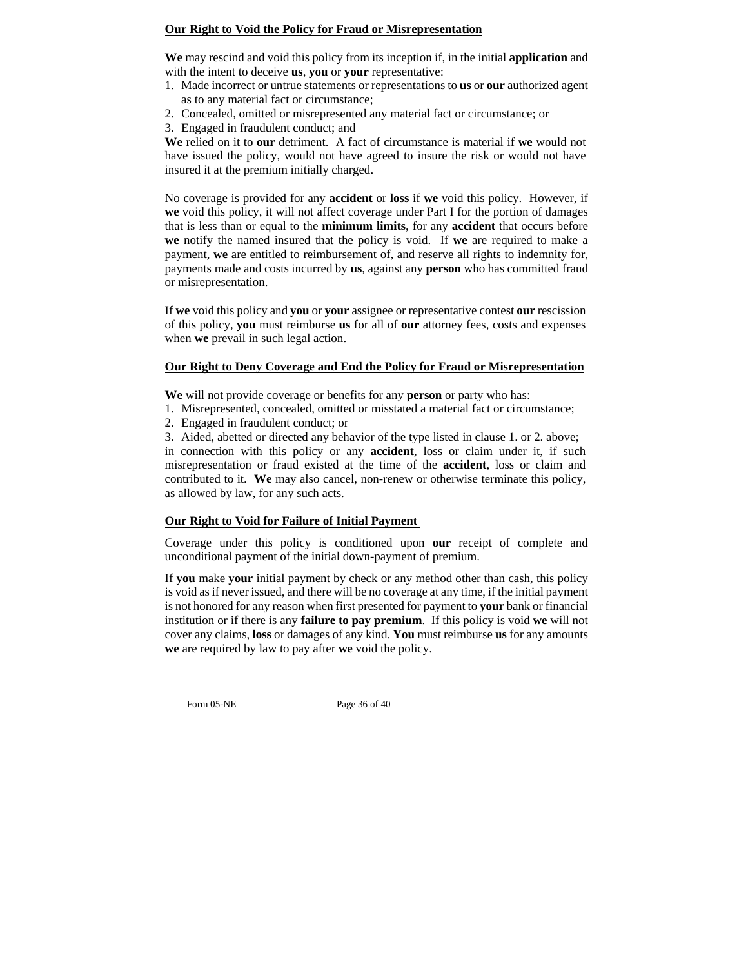# **Our Right to Void the Policy for Fraud or Misrepresentation**

**We** may rescind and void this policy from its inception if, in the initial **application** and with the intent to deceive **us**, **you** or **your** representative:

- 1. Made incorrect or untrue statements or representations to **us** or **our** authorized agent as to any material fact or circumstance;
- 2. Concealed, omitted or misrepresented any material fact or circumstance; or
- 3. Engaged in fraudulent conduct; and

**We** relied on it to **our** detriment. A fact of circumstance is material if **we** would not have issued the policy, would not have agreed to insure the risk or would not have insured it at the premium initially charged.

No coverage is provided for any **accident** or **loss** if **we** void this policy. However, if **we** void this policy, it will not affect coverage under Part I for the portion of damages that is less than or equal to the **minimum limits**, for any **accident** that occurs before **we** notify the named insured that the policy is void. If **we** are required to make a payment, **we** are entitled to reimbursement of, and reserve all rights to indemnity for, payments made and costs incurred by **us**, against any **person** who has committed fraud or misrepresentation.

If **we** void this policy and **you** or **your** assignee or representative contest **our** rescission of this policy, **you** must reimburse **us** for all of **our** attorney fees, costs and expenses when **we** prevail in such legal action.

# **Our Right to Deny Coverage and End the Policy for Fraud or Misrepresentation**

**We** will not provide coverage or benefits for any **person** or party who has:

- 1. Misrepresented, concealed, omitted or misstated a material fact or circumstance;
- 2. Engaged in fraudulent conduct; or

3. Aided, abetted or directed any behavior of the type listed in clause 1. or 2. above;

in connection with this policy or any **accident**, loss or claim under it, if such misrepresentation or fraud existed at the time of the **accident**, loss or claim and contributed to it. **We** may also cancel, non-renew or otherwise terminate this policy, as allowed by law, for any such acts.

# **Our Right to Void for Failure of Initial Payment**

Coverage under this policy is conditioned upon **our** receipt of complete and unconditional payment of the initial down-payment of premium.

If **you** make **your** initial payment by check or any method other than cash, this policy is void as if never issued, and there will be no coverage at any time, if the initial payment is not honored for any reason when first presented for payment to **your** bank or financial institution or if there is any **failure to pay premium**. If this policy is void **we** will not cover any claims, **loss** or damages of any kind. **You** must reimburse **us** for any amounts **we** are required by law to pay after **we** void the policy.

Form 05-NE Page 36 of 40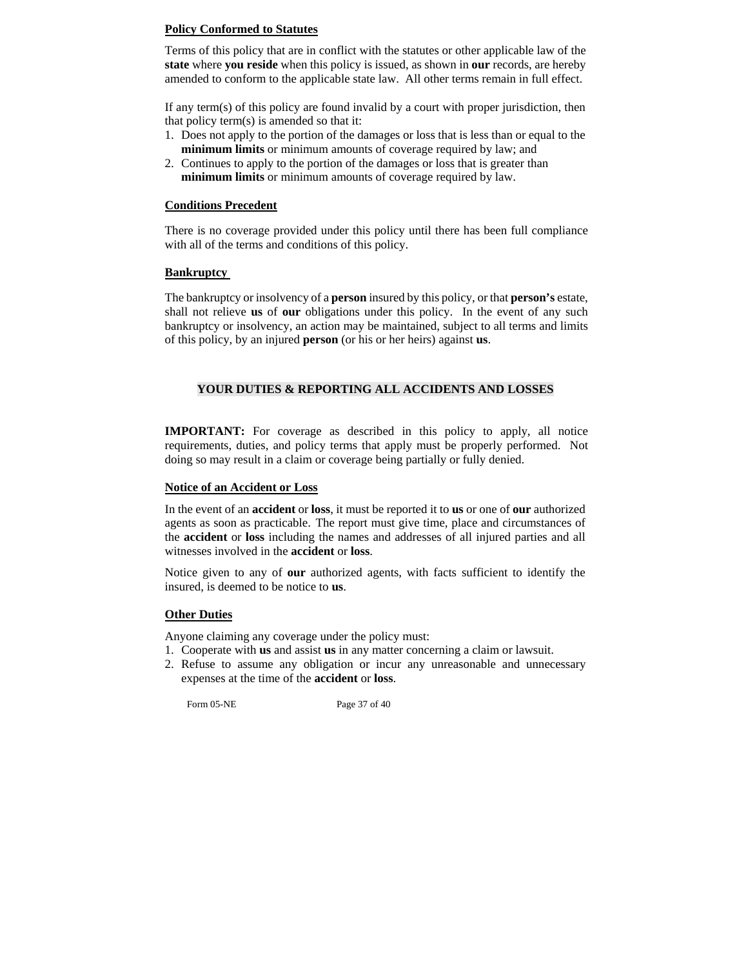# **Policy Conformed to Statutes**

Terms of this policy that are in conflict with the statutes or other applicable law of the **state** where **you reside** when this policy is issued, as shown in **our** records, are hereby amended to conform to the applicable state law. All other terms remain in full effect.

If any term(s) of this policy are found invalid by a court with proper jurisdiction, then that policy term(s) is amended so that it:

- 1. Does not apply to the portion of the damages or loss that is less than or equal to the **minimum limits** or minimum amounts of coverage required by law; and
- 2. Continues to apply to the portion of the damages or loss that is greater than **minimum limits** or minimum amounts of coverage required by law.

## **Conditions Precedent**

There is no coverage provided under this policy until there has been full compliance with all of the terms and conditions of this policy.

# **Bankruptcy**

The bankruptcy or insolvency of a **person** insured by this policy, or that **person's** estate, shall not relieve **us** of **our** obligations under this policy. In the event of any such bankruptcy or insolvency, an action may be maintained, subject to all terms and limits of this policy, by an injured **person** (or his or her heirs) against **us**.

# **YOUR DUTIES & REPORTING ALL ACCIDENTS AND LOSSES**

**IMPORTANT:** For coverage as described in this policy to apply, all notice requirements, duties, and policy terms that apply must be properly performed. Not doing so may result in a claim or coverage being partially or fully denied.

## **Notice of an Accident or Loss**

In the event of an **accident** or **loss**, it must be reported it to **us** or one of **our** authorized agents as soon as practicable. The report must give time, place and circumstances of the **accident** or **loss** including the names and addresses of all injured parties and all witnesses involved in the **accident** or **loss**.

Notice given to any of **our** authorized agents, with facts sufficient to identify the insured, is deemed to be notice to **us**.

# **Other Duties**

Anyone claiming any coverage under the policy must:

- 1. Cooperate with **us** and assist **us** in any matter concerning a claim or lawsuit.
- 2. Refuse to assume any obligation or incur any unreasonable and unnecessary expenses at the time of the **accident** or **loss**.

Form 05-NE Page 37 of 40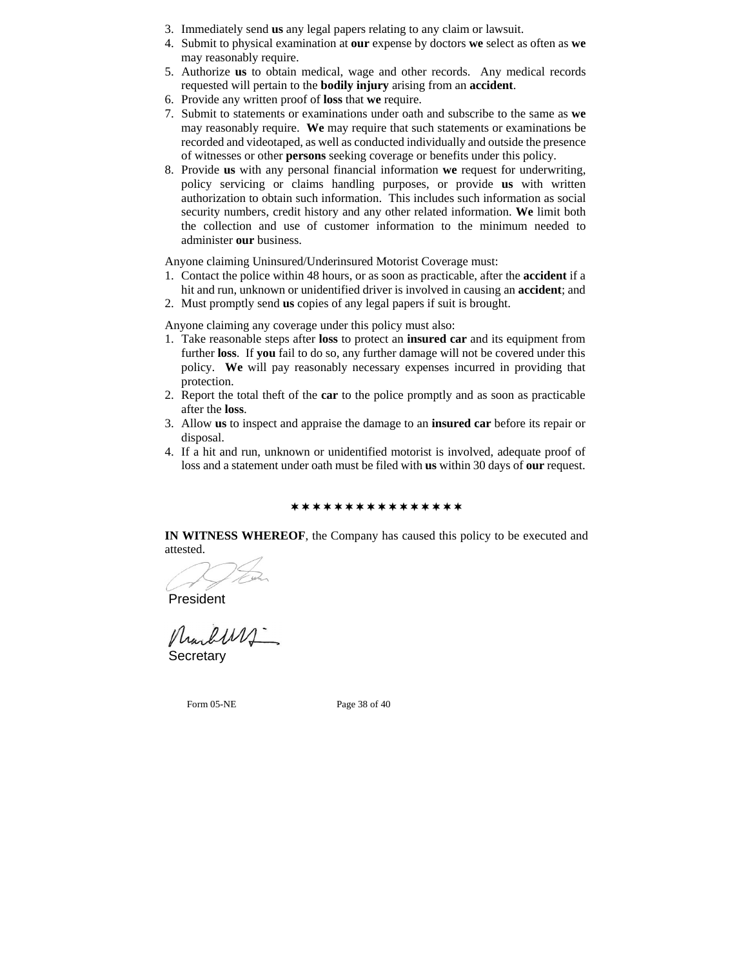- 3. Immediately send **us** any legal papers relating to any claim or lawsuit.
- 4. Submit to physical examination at **our** expense by doctors **we** select as often as **we**  may reasonably require.
- 5. Authorize **us** to obtain medical, wage and other records. Any medical records requested will pertain to the **bodily injury** arising from an **accident**.
- 6. Provide any written proof of **loss** that **we** require.
- 7. Submit to statements or examinations under oath and subscribe to the same as **we** may reasonably require. **We** may require that such statements or examinations be recorded and videotaped, as well as conducted individually and outside the presence of witnesses or other **persons** seeking coverage or benefits under this policy.
- 8. Provide **us** with any personal financial information **we** request for underwriting, policy servicing or claims handling purposes, or provide **us** with written authorization to obtain such information. This includes such information as social security numbers, credit history and any other related information. **We** limit both the collection and use of customer information to the minimum needed to administer **our** business.

Anyone claiming Uninsured/Underinsured Motorist Coverage must:

- 1. Contact the police within 48 hours, or as soon as practicable, after the **accident** if a hit and run, unknown or unidentified driver is involved in causing an **accident**; and
- 2. Must promptly send **us** copies of any legal papers if suit is brought.

Anyone claiming any coverage under this policy must also:

- 1. Take reasonable steps after **loss** to protect an **insured car** and its equipment from further **loss**.If **you** fail to do so, any further damage will not be covered under this policy. **We** will pay reasonably necessary expenses incurred in providing that protection.
- 2. Report the total theft of the **car** to the police promptly and as soon as practicable after the **loss**.
- 3. Allow **us** to inspect and appraise the damage to an **insured car** before its repair or disposal.
- 4. If a hit and run, unknown or unidentified motorist is involved, adequate proof of loss and a statement under oath must be filed with **us** within 30 days of **our** request.

\*\*\*\*\*\*\*\*\*\*\*\*\*\*\*\*\*

**IN WITNESS WHEREOF**, the Company has caused this policy to be executed and attested.

President

Marburs.

**Secretary** 

Form 05-NE Page 38 of 40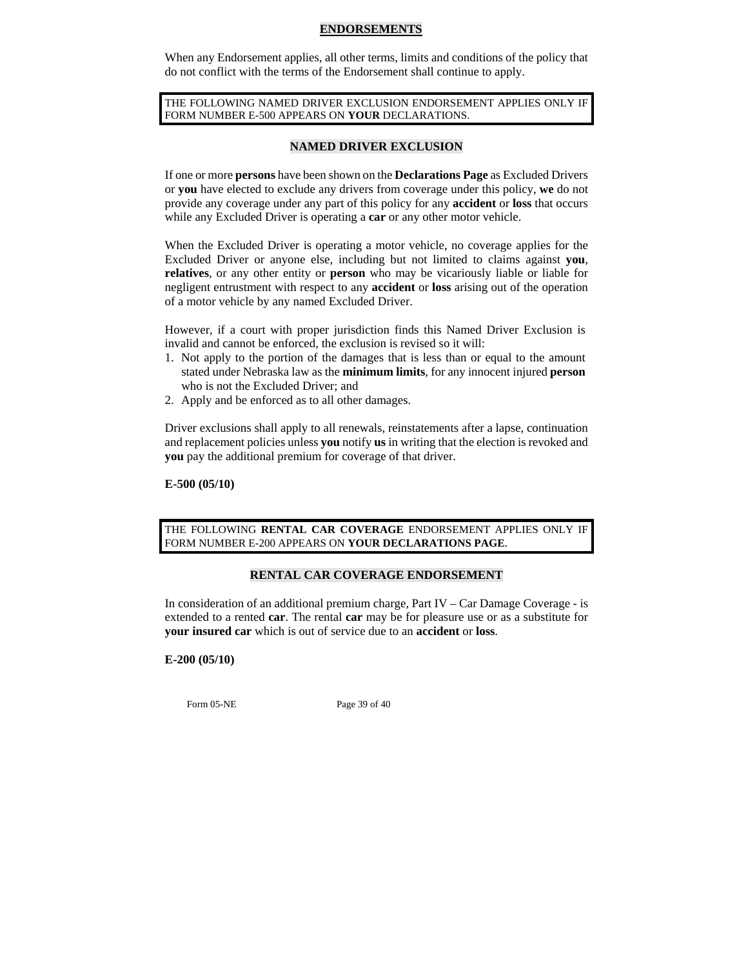#### **ENDORSEMENTS**

When any Endorsement applies, all other terms, limits and conditions of the policy that do not conflict with the terms of the Endorsement shall continue to apply.

THE FOLLOWING NAMED DRIVER EXCLUSION ENDORSEMENT APPLIES ONLY IF FORM NUMBER E-500 APPEARS ON **YOUR** DECLARATIONS.

# **NAMED DRIVER EXCLUSION**

If one or more **persons** have been shown on the **Declarations Page** as Excluded Drivers or **you** have elected to exclude any drivers from coverage under this policy, **we** do not provide any coverage under any part of this policy for any **accident** or **loss** that occurs while any Excluded Driver is operating a **car** or any other motor vehicle.

When the Excluded Driver is operating a motor vehicle, no coverage applies for the Excluded Driver or anyone else, including but not limited to claims against **you**, **relatives**, or any other entity or **person** who may be vicariously liable or liable for negligent entrustment with respect to any **accident** or **loss** arising out of the operation of a motor vehicle by any named Excluded Driver.

However, if a court with proper jurisdiction finds this Named Driver Exclusion is invalid and cannot be enforced, the exclusion is revised so it will:

- 1. Not apply to the portion of the damages that is less than or equal to the amount stated under Nebraska law as the **minimum limits**, for any innocent injured **person** who is not the Excluded Driver; and
- 2. Apply and be enforced as to all other damages.

Driver exclusions shall apply to all renewals, reinstatements after a lapse, continuation and replacement policies unless **you** notify **us** in writing that the election is revoked and **you** pay the additional premium for coverage of that driver.

#### **E-500 (05/10)**

THE FOLLOWING **RENTAL CAR COVERAGE** ENDORSEMENT APPLIES ONLY IF FORM NUMBER E-200 APPEARS ON **YOUR DECLARATIONS PAGE**.

## **RENTAL CAR COVERAGE ENDORSEMENT**

In consideration of an additional premium charge, Part IV – Car Damage Coverage - is extended to a rented **car**. The rental **car** may be for pleasure use or as a substitute for **your insured car** which is out of service due to an **accident** or **loss**.

## **E-200 (05/10)**

Form 05-NE Page 39 of 40